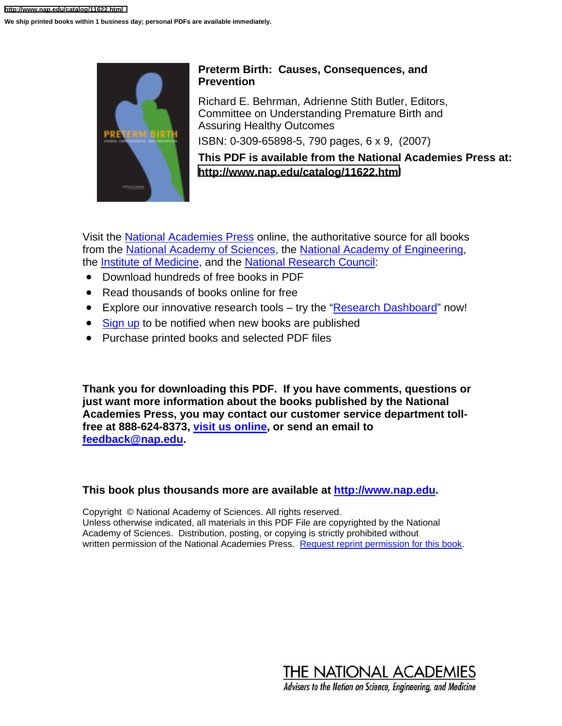**We ship printed books within 1 business day; personal PDFs are available immediately.**



# **Preterm Birth: Causes, Consequences, and Prevention**

Richard E. Behrman, Adrienne Stith Butler, Editors, Committee on Understanding Premature Birth and Assuring Healthy Outcomes

ISBN: 0-309-65898-5, 790 pages, 6 x 9, (2007)

**This PDF is available from the National Academies Press at: <http://www.nap.edu/catalog/11622.html>**

Visit the [National Academies Press](http://www.nap.edu) online, the authoritative source for all books from the [National Academy of Sciences](http://www.nas.edu/nas), the [National Academy of Engineering,](http://www.nae.edu) the [Institute of Medicine](http://www.iom.edu), and the [National Research Council:](http://www.nationalacademies.org/nrc/)

- Download hundreds of free books in PDF
- Read thousands of books online for free
- Explore our innovative research tools try the ["Research Dashboard](http://lab.nap.edu/nap-cgi/dashboard.cgi?isbn=030910159X&act=dashboard)" now!
- [Sign up to](http://www.nap.edu/agent.html) be notified when new books are published
- Purchase printed books and selected PDF files

**Thank you for downloading this PDF. If you have comments, questions or just want more information about the books published by the National Academies Press, you may contact our customer service department tollfree at 888-624-8373, [visit us online](http://www.nap.edu), or send an email to [feedback@nap.edu](mailto:feedback@nap.edu).** 

# **This book plus thousands more are available a[t http://www.nap.edu.](http://www.nap.edu)**

Copyright © National Academy of Sciences. All rights reserved. Unless otherwise indicated, all materials in this PDF File are copyrighted by the National Academy of Sciences. Distribution, posting, or copying is strictly prohibited without written permission of the National Academies Press. [Request reprint permission for this book](http://www.nap.edu/v3/makepage.phtml?val1=reprint).

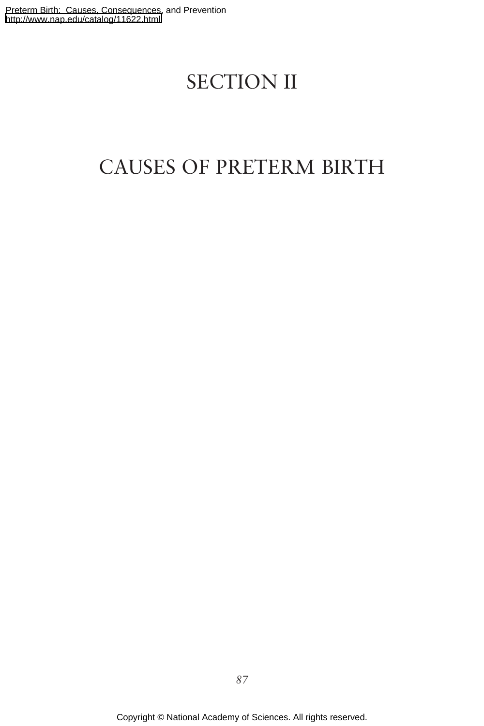# SECTION II

# CAUSES OF PRETERM BIRTH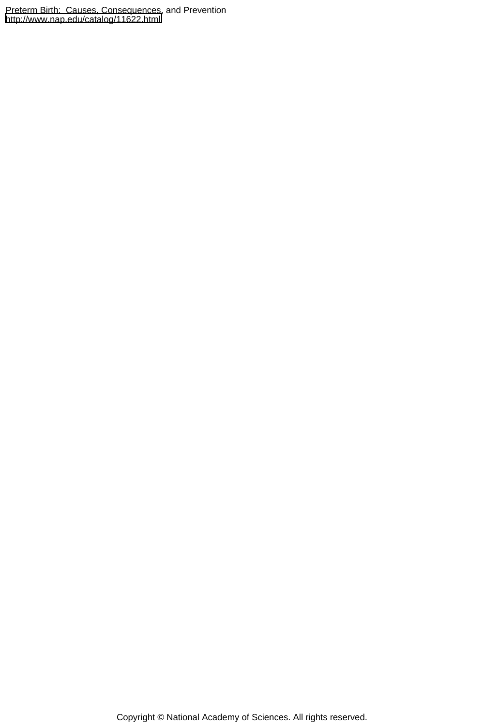Preterm Birth: Causes, Consequences, and Prevention <http://www.nap.edu/catalog/11622.html>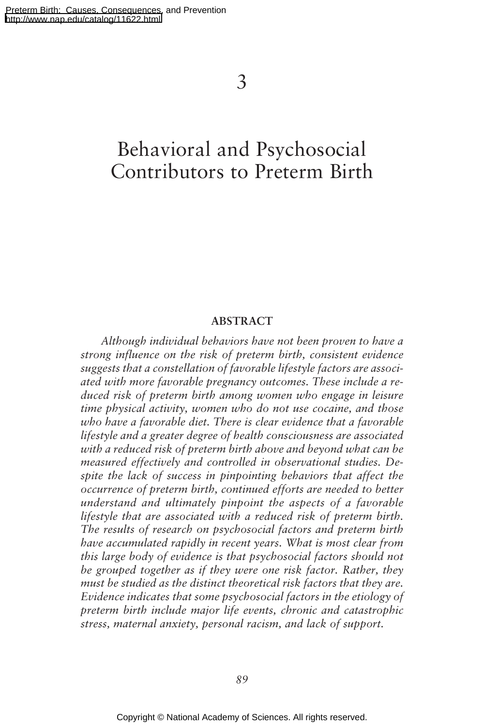3

# Behavioral and Psychosocial Contributors to Preterm Birth

# **ABSTRACT**

*Although individual behaviors have not been proven to have a strong influence on the risk of preterm birth, consistent evidence suggests that a constellation of favorable lifestyle factors are associated with more favorable pregnancy outcomes. These include a reduced risk of preterm birth among women who engage in leisure time physical activity, women who do not use cocaine, and those who have a favorable diet. There is clear evidence that a favorable lifestyle and a greater degree of health consciousness are associated with a reduced risk of preterm birth above and beyond what can be measured effectively and controlled in observational studies. Despite the lack of success in pinpointing behaviors that affect the occurrence of preterm birth, continued efforts are needed to better understand and ultimately pinpoint the aspects of a favorable lifestyle that are associated with a reduced risk of preterm birth. The results of research on psychosocial factors and preterm birth have accumulated rapidly in recent years. What is most clear from this large body of evidence is that psychosocial factors should not be grouped together as if they were one risk factor. Rather, they must be studied as the distinct theoretical risk factors that they are. Evidence indicates that some psychosocial factors in the etiology of preterm birth include major life events, chronic and catastrophic stress, maternal anxiety, personal racism, and lack of support.*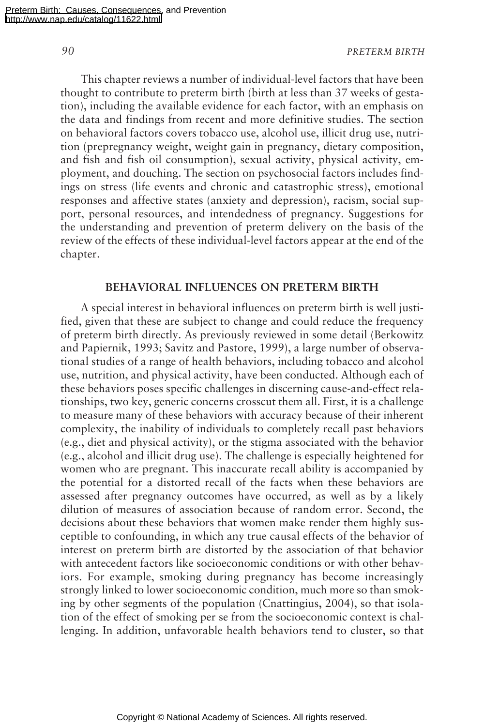This chapter reviews a number of individual-level factors that have been thought to contribute to preterm birth (birth at less than 37 weeks of gestation), including the available evidence for each factor, with an emphasis on the data and findings from recent and more definitive studies. The section on behavioral factors covers tobacco use, alcohol use, illicit drug use, nutrition (prepregnancy weight, weight gain in pregnancy, dietary composition, and fish and fish oil consumption), sexual activity, physical activity, employment, and douching. The section on psychosocial factors includes findings on stress (life events and chronic and catastrophic stress), emotional responses and affective states (anxiety and depression), racism, social support, personal resources, and intendedness of pregnancy. Suggestions for the understanding and prevention of preterm delivery on the basis of the review of the effects of these individual-level factors appear at the end of the chapter.

# **BEHAVIORAL INFLUENCES ON PRETERM BIRTH**

A special interest in behavioral influences on preterm birth is well justified, given that these are subject to change and could reduce the frequency of preterm birth directly. As previously reviewed in some detail (Berkowitz and Papiernik, 1993; Savitz and Pastore, 1999), a large number of observational studies of a range of health behaviors, including tobacco and alcohol use, nutrition, and physical activity, have been conducted. Although each of these behaviors poses specific challenges in discerning cause-and-effect relationships, two key, generic concerns crosscut them all. First, it is a challenge to measure many of these behaviors with accuracy because of their inherent complexity, the inability of individuals to completely recall past behaviors (e.g., diet and physical activity), or the stigma associated with the behavior (e.g., alcohol and illicit drug use). The challenge is especially heightened for women who are pregnant. This inaccurate recall ability is accompanied by the potential for a distorted recall of the facts when these behaviors are assessed after pregnancy outcomes have occurred, as well as by a likely dilution of measures of association because of random error. Second, the decisions about these behaviors that women make render them highly susceptible to confounding, in which any true causal effects of the behavior of interest on preterm birth are distorted by the association of that behavior with antecedent factors like socioeconomic conditions or with other behaviors. For example, smoking during pregnancy has become increasingly strongly linked to lower socioeconomic condition, much more so than smoking by other segments of the population (Cnattingius, 2004), so that isolation of the effect of smoking per se from the socioeconomic context is challenging. In addition, unfavorable health behaviors tend to cluster, so that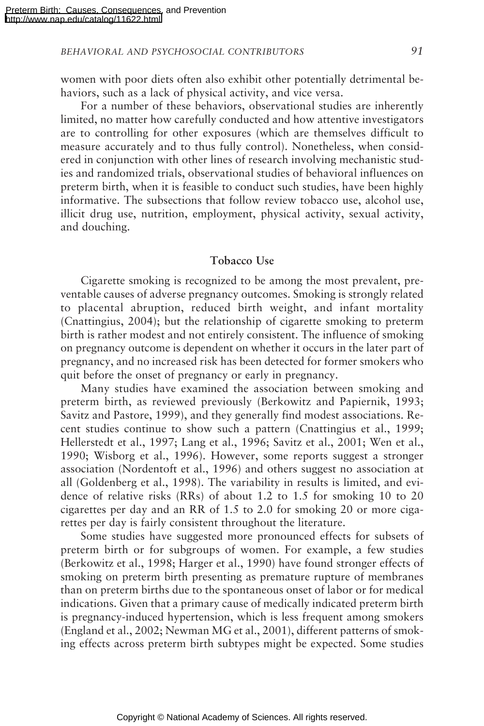women with poor diets often also exhibit other potentially detrimental behaviors, such as a lack of physical activity, and vice versa.

For a number of these behaviors, observational studies are inherently limited, no matter how carefully conducted and how attentive investigators are to controlling for other exposures (which are themselves difficult to measure accurately and to thus fully control). Nonetheless, when considered in conjunction with other lines of research involving mechanistic studies and randomized trials, observational studies of behavioral influences on preterm birth, when it is feasible to conduct such studies, have been highly informative. The subsections that follow review tobacco use, alcohol use, illicit drug use, nutrition, employment, physical activity, sexual activity, and douching.

# **Tobacco Use**

Cigarette smoking is recognized to be among the most prevalent, preventable causes of adverse pregnancy outcomes. Smoking is strongly related to placental abruption, reduced birth weight, and infant mortality (Cnattingius, 2004); but the relationship of cigarette smoking to preterm birth is rather modest and not entirely consistent. The influence of smoking on pregnancy outcome is dependent on whether it occurs in the later part of pregnancy, and no increased risk has been detected for former smokers who quit before the onset of pregnancy or early in pregnancy.

Many studies have examined the association between smoking and preterm birth, as reviewed previously (Berkowitz and Papiernik, 1993; Savitz and Pastore, 1999), and they generally find modest associations. Recent studies continue to show such a pattern (Cnattingius et al., 1999; Hellerstedt et al., 1997; Lang et al., 1996; Savitz et al., 2001; Wen et al., 1990; Wisborg et al., 1996). However, some reports suggest a stronger association (Nordentoft et al., 1996) and others suggest no association at all (Goldenberg et al., 1998). The variability in results is limited, and evidence of relative risks (RRs) of about 1.2 to 1.5 for smoking 10 to 20 cigarettes per day and an RR of 1.5 to 2.0 for smoking 20 or more cigarettes per day is fairly consistent throughout the literature.

Some studies have suggested more pronounced effects for subsets of preterm birth or for subgroups of women. For example, a few studies (Berkowitz et al., 1998; Harger et al., 1990) have found stronger effects of smoking on preterm birth presenting as premature rupture of membranes than on preterm births due to the spontaneous onset of labor or for medical indications. Given that a primary cause of medically indicated preterm birth is pregnancy-induced hypertension, which is less frequent among smokers (England et al., 2002; Newman MG et al., 2001), different patterns of smoking effects across preterm birth subtypes might be expected. Some studies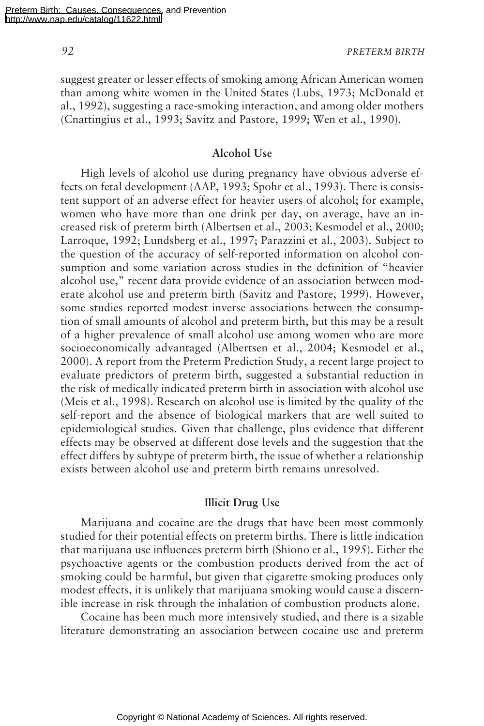Preterm Birth: Causes, Consequences, and Prevention <http://www.nap.edu/catalog/11622.html>

suggest greater or lesser effects of smoking among African American women than among white women in the United States (Lubs, 1973; McDonald et al., 1992), suggesting a race-smoking interaction, and among older mothers (Cnattingius et al., 1993; Savitz and Pastore, 1999; Wen et al., 1990).

# **Alcohol Use**

High levels of alcohol use during pregnancy have obvious adverse effects on fetal development (AAP, 1993; Spohr et al., 1993). There is consistent support of an adverse effect for heavier users of alcohol; for example, women who have more than one drink per day, on average, have an increased risk of preterm birth (Albertsen et al., 2003; Kesmodel et al., 2000; Larroque, 1992; Lundsberg et al., 1997; Parazzini et al., 2003). Subject to the question of the accuracy of self-reported information on alcohol consumption and some variation across studies in the definition of "heavier alcohol use," recent data provide evidence of an association between moderate alcohol use and preterm birth (Savitz and Pastore, 1999). However, some studies reported modest inverse associations between the consumption of small amounts of alcohol and preterm birth, but this may be a result of a higher prevalence of small alcohol use among women who are more socioeconomically advantaged (Albertsen et al., 2004; Kesmodel et al., 2000). A report from the Preterm Prediction Study, a recent large project to evaluate predictors of preterm birth, suggested a substantial reduction in the risk of medically indicated preterm birth in association with alcohol use (Meis et al., 1998). Research on alcohol use is limited by the quality of the self-report and the absence of biological markers that are well suited to epidemiological studies. Given that challenge, plus evidence that different effects may be observed at different dose levels and the suggestion that the effect differs by subtype of preterm birth, the issue of whether a relationship exists between alcohol use and preterm birth remains unresolved.

# **Illicit Drug Use**

Marijuana and cocaine are the drugs that have been most commonly studied for their potential effects on preterm births. There is little indication that marijuana use influences preterm birth (Shiono et al., 1995). Either the psychoactive agents or the combustion products derived from the act of smoking could be harmful, but given that cigarette smoking produces only modest effects, it is unlikely that marijuana smoking would cause a discernible increase in risk through the inhalation of combustion products alone.

Cocaine has been much more intensively studied, and there is a sizable literature demonstrating an association between cocaine use and preterm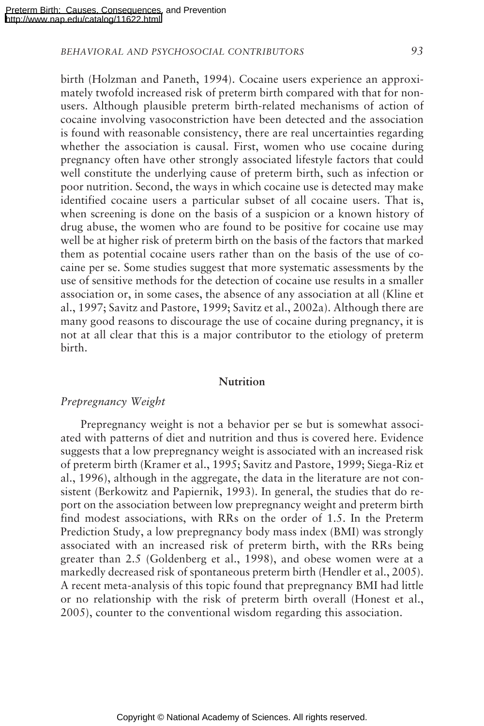birth (Holzman and Paneth, 1994). Cocaine users experience an approximately twofold increased risk of preterm birth compared with that for nonusers. Although plausible preterm birth-related mechanisms of action of cocaine involving vasoconstriction have been detected and the association is found with reasonable consistency, there are real uncertainties regarding whether the association is causal. First, women who use cocaine during pregnancy often have other strongly associated lifestyle factors that could well constitute the underlying cause of preterm birth, such as infection or poor nutrition. Second, the ways in which cocaine use is detected may make identified cocaine users a particular subset of all cocaine users. That is, when screening is done on the basis of a suspicion or a known history of drug abuse, the women who are found to be positive for cocaine use may well be at higher risk of preterm birth on the basis of the factors that marked them as potential cocaine users rather than on the basis of the use of cocaine per se. Some studies suggest that more systematic assessments by the use of sensitive methods for the detection of cocaine use results in a smaller association or, in some cases, the absence of any association at all (Kline et al., 1997; Savitz and Pastore, 1999; Savitz et al., 2002a). Although there are many good reasons to discourage the use of cocaine during pregnancy, it is not at all clear that this is a major contributor to the etiology of preterm birth.

# **Nutrition**

# *Prepregnancy Weight*

Prepregnancy weight is not a behavior per se but is somewhat associated with patterns of diet and nutrition and thus is covered here. Evidence suggests that a low prepregnancy weight is associated with an increased risk of preterm birth (Kramer et al., 1995; Savitz and Pastore, 1999; Siega-Riz et al., 1996), although in the aggregate, the data in the literature are not consistent (Berkowitz and Papiernik, 1993). In general, the studies that do report on the association between low prepregnancy weight and preterm birth find modest associations, with RRs on the order of 1.5. In the Preterm Prediction Study, a low prepregnancy body mass index (BMI) was strongly associated with an increased risk of preterm birth, with the RRs being greater than 2.5 (Goldenberg et al., 1998), and obese women were at a markedly decreased risk of spontaneous preterm birth (Hendler et al., 2005). A recent meta-analysis of this topic found that prepregnancy BMI had little or no relationship with the risk of preterm birth overall (Honest et al., 2005), counter to the conventional wisdom regarding this association.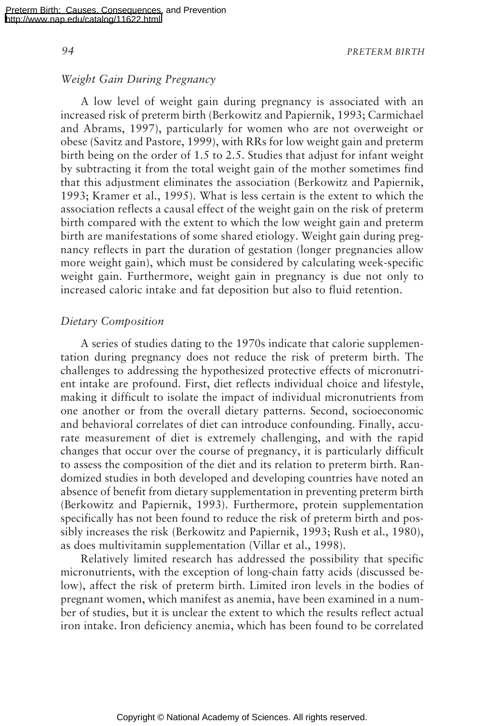# *Weight Gain During Pregnancy*

A low level of weight gain during pregnancy is associated with an increased risk of preterm birth (Berkowitz and Papiernik, 1993; Carmichael and Abrams, 1997), particularly for women who are not overweight or obese (Savitz and Pastore, 1999), with RRs for low weight gain and preterm birth being on the order of 1.5 to 2.5. Studies that adjust for infant weight by subtracting it from the total weight gain of the mother sometimes find that this adjustment eliminates the association (Berkowitz and Papiernik, 1993; Kramer et al., 1995). What is less certain is the extent to which the association reflects a causal effect of the weight gain on the risk of preterm birth compared with the extent to which the low weight gain and preterm birth are manifestations of some shared etiology. Weight gain during pregnancy reflects in part the duration of gestation (longer pregnancies allow more weight gain), which must be considered by calculating week-specific weight gain. Furthermore, weight gain in pregnancy is due not only to increased caloric intake and fat deposition but also to fluid retention.

# *Dietary Composition*

A series of studies dating to the 1970s indicate that calorie supplementation during pregnancy does not reduce the risk of preterm birth. The challenges to addressing the hypothesized protective effects of micronutrient intake are profound. First, diet reflects individual choice and lifestyle, making it difficult to isolate the impact of individual micronutrients from one another or from the overall dietary patterns. Second, socioeconomic and behavioral correlates of diet can introduce confounding. Finally, accurate measurement of diet is extremely challenging, and with the rapid changes that occur over the course of pregnancy, it is particularly difficult to assess the composition of the diet and its relation to preterm birth. Randomized studies in both developed and developing countries have noted an absence of benefit from dietary supplementation in preventing preterm birth (Berkowitz and Papiernik, 1993). Furthermore, protein supplementation specifically has not been found to reduce the risk of preterm birth and possibly increases the risk (Berkowitz and Papiernik, 1993; Rush et al., 1980), as does multivitamin supplementation (Villar et al., 1998).

Relatively limited research has addressed the possibility that specific micronutrients, with the exception of long-chain fatty acids (discussed below), affect the risk of preterm birth. Limited iron levels in the bodies of pregnant women, which manifest as anemia, have been examined in a number of studies, but it is unclear the extent to which the results reflect actual iron intake. Iron deficiency anemia, which has been found to be correlated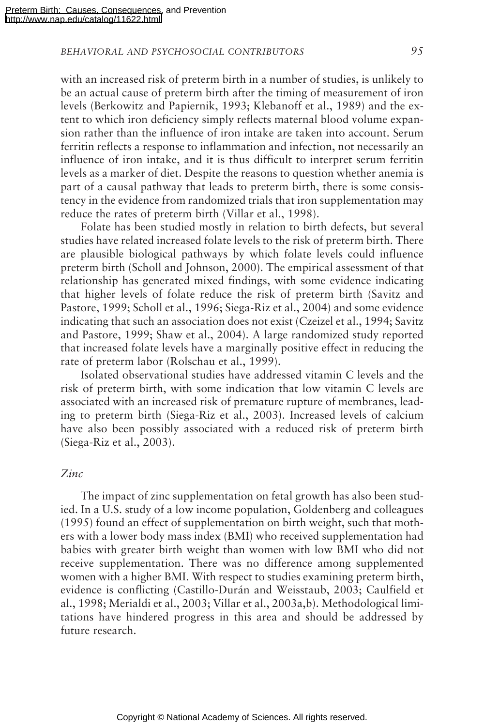with an increased risk of preterm birth in a number of studies, is unlikely to be an actual cause of preterm birth after the timing of measurement of iron levels (Berkowitz and Papiernik, 1993; Klebanoff et al., 1989) and the extent to which iron deficiency simply reflects maternal blood volume expansion rather than the influence of iron intake are taken into account. Serum ferritin reflects a response to inflammation and infection, not necessarily an influence of iron intake, and it is thus difficult to interpret serum ferritin levels as a marker of diet. Despite the reasons to question whether anemia is part of a causal pathway that leads to preterm birth, there is some consistency in the evidence from randomized trials that iron supplementation may reduce the rates of preterm birth (Villar et al., 1998).

Folate has been studied mostly in relation to birth defects, but several studies have related increased folate levels to the risk of preterm birth. There are plausible biological pathways by which folate levels could influence preterm birth (Scholl and Johnson, 2000). The empirical assessment of that relationship has generated mixed findings, with some evidence indicating that higher levels of folate reduce the risk of preterm birth (Savitz and Pastore, 1999; Scholl et al., 1996; Siega-Riz et al., 2004) and some evidence indicating that such an association does not exist (Czeizel et al., 1994; Savitz and Pastore, 1999; Shaw et al., 2004). A large randomized study reported that increased folate levels have a marginally positive effect in reducing the rate of preterm labor (Rolschau et al., 1999).

Isolated observational studies have addressed vitamin C levels and the risk of preterm birth, with some indication that low vitamin C levels are associated with an increased risk of premature rupture of membranes, leading to preterm birth (Siega-Riz et al., 2003). Increased levels of calcium have also been possibly associated with a reduced risk of preterm birth (Siega-Riz et al., 2003).

# *Zinc*

The impact of zinc supplementation on fetal growth has also been studied. In a U.S. study of a low income population, Goldenberg and colleagues (1995) found an effect of supplementation on birth weight, such that mothers with a lower body mass index (BMI) who received supplementation had babies with greater birth weight than women with low BMI who did not receive supplementation. There was no difference among supplemented women with a higher BMI. With respect to studies examining preterm birth, evidence is conflicting (Castillo-Durán and Weisstaub, 2003; Caulfield et al., 1998; Merialdi et al., 2003; Villar et al., 2003a,b). Methodological limitations have hindered progress in this area and should be addressed by future research.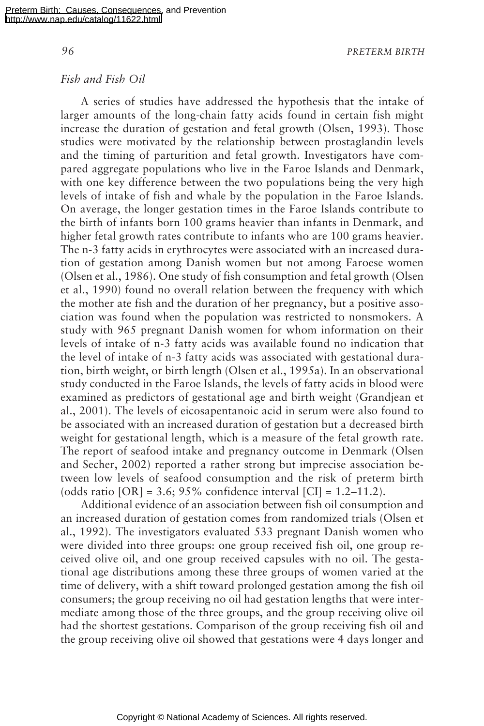# *Fish and Fish Oil*

A series of studies have addressed the hypothesis that the intake of larger amounts of the long-chain fatty acids found in certain fish might increase the duration of gestation and fetal growth (Olsen, 1993). Those studies were motivated by the relationship between prostaglandin levels and the timing of parturition and fetal growth. Investigators have compared aggregate populations who live in the Faroe Islands and Denmark, with one key difference between the two populations being the very high levels of intake of fish and whale by the population in the Faroe Islands. On average, the longer gestation times in the Faroe Islands contribute to the birth of infants born 100 grams heavier than infants in Denmark, and higher fetal growth rates contribute to infants who are 100 grams heavier. The n-3 fatty acids in erythrocytes were associated with an increased duration of gestation among Danish women but not among Faroese women (Olsen et al., 1986). One study of fish consumption and fetal growth (Olsen et al., 1990) found no overall relation between the frequency with which the mother ate fish and the duration of her pregnancy, but a positive association was found when the population was restricted to nonsmokers. A study with 965 pregnant Danish women for whom information on their levels of intake of n-3 fatty acids was available found no indication that the level of intake of n-3 fatty acids was associated with gestational duration, birth weight, or birth length (Olsen et al., 1995a). In an observational study conducted in the Faroe Islands, the levels of fatty acids in blood were examined as predictors of gestational age and birth weight (Grandjean et al., 2001). The levels of eicosapentanoic acid in serum were also found to be associated with an increased duration of gestation but a decreased birth weight for gestational length, which is a measure of the fetal growth rate. The report of seafood intake and pregnancy outcome in Denmark (Olsen and Secher, 2002) reported a rather strong but imprecise association between low levels of seafood consumption and the risk of preterm birth (odds ratio  $[OR] = 3.6$ ; 95% confidence interval  $[CI] = 1.2-11.2$ ).

Additional evidence of an association between fish oil consumption and an increased duration of gestation comes from randomized trials (Olsen et al., 1992). The investigators evaluated 533 pregnant Danish women who were divided into three groups: one group received fish oil, one group received olive oil, and one group received capsules with no oil. The gestational age distributions among these three groups of women varied at the time of delivery, with a shift toward prolonged gestation among the fish oil consumers; the group receiving no oil had gestation lengths that were intermediate among those of the three groups, and the group receiving olive oil had the shortest gestations. Comparison of the group receiving fish oil and the group receiving olive oil showed that gestations were 4 days longer and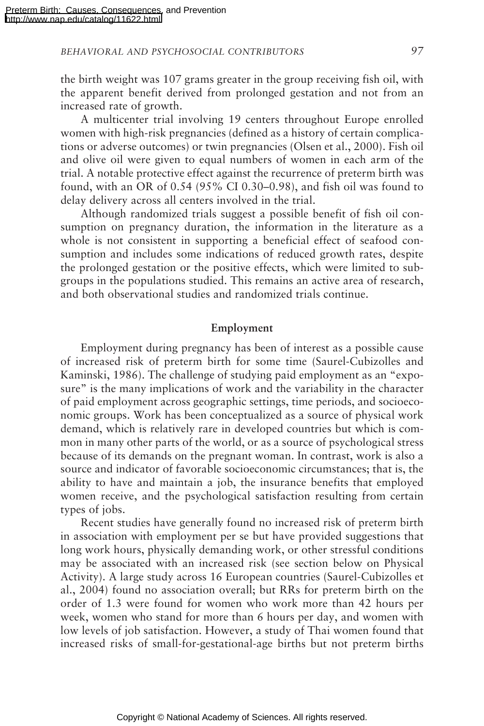the birth weight was 107 grams greater in the group receiving fish oil, with the apparent benefit derived from prolonged gestation and not from an increased rate of growth.

A multicenter trial involving 19 centers throughout Europe enrolled women with high-risk pregnancies (defined as a history of certain complications or adverse outcomes) or twin pregnancies (Olsen et al., 2000). Fish oil and olive oil were given to equal numbers of women in each arm of the trial. A notable protective effect against the recurrence of preterm birth was found, with an OR of 0.54 (95% CI 0.30–0.98), and fish oil was found to delay delivery across all centers involved in the trial.

Although randomized trials suggest a possible benefit of fish oil consumption on pregnancy duration, the information in the literature as a whole is not consistent in supporting a beneficial effect of seafood consumption and includes some indications of reduced growth rates, despite the prolonged gestation or the positive effects, which were limited to subgroups in the populations studied. This remains an active area of research, and both observational studies and randomized trials continue.

# **Employment**

Employment during pregnancy has been of interest as a possible cause of increased risk of preterm birth for some time (Saurel-Cubizolles and Kaminski, 1986). The challenge of studying paid employment as an "exposure" is the many implications of work and the variability in the character of paid employment across geographic settings, time periods, and socioeconomic groups. Work has been conceptualized as a source of physical work demand, which is relatively rare in developed countries but which is common in many other parts of the world, or as a source of psychological stress because of its demands on the pregnant woman. In contrast, work is also a source and indicator of favorable socioeconomic circumstances; that is, the ability to have and maintain a job, the insurance benefits that employed women receive, and the psychological satisfaction resulting from certain types of jobs.

Recent studies have generally found no increased risk of preterm birth in association with employment per se but have provided suggestions that long work hours, physically demanding work, or other stressful conditions may be associated with an increased risk (see section below on Physical Activity). A large study across 16 European countries (Saurel-Cubizolles et al., 2004) found no association overall; but RRs for preterm birth on the order of 1.3 were found for women who work more than 42 hours per week, women who stand for more than 6 hours per day, and women with low levels of job satisfaction. However, a study of Thai women found that increased risks of small-for-gestational-age births but not preterm births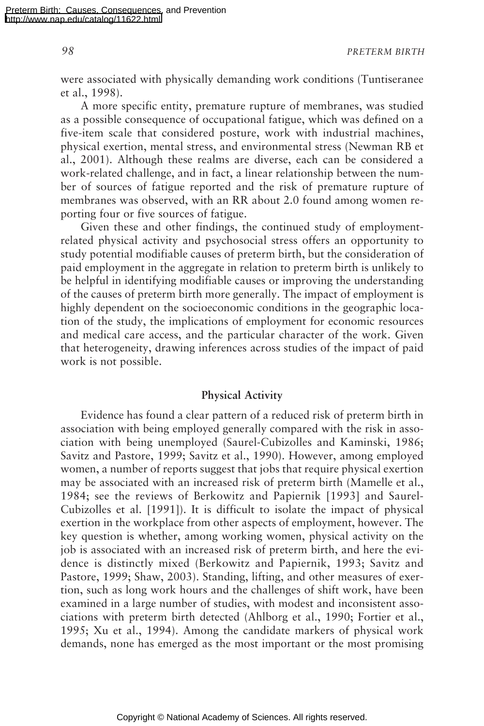*98 PRETERM BIRTH*

were associated with physically demanding work conditions (Tuntiseranee et al., 1998).

A more specific entity, premature rupture of membranes, was studied as a possible consequence of occupational fatigue, which was defined on a five-item scale that considered posture, work with industrial machines, physical exertion, mental stress, and environmental stress (Newman RB et al., 2001). Although these realms are diverse, each can be considered a work-related challenge, and in fact, a linear relationship between the number of sources of fatigue reported and the risk of premature rupture of membranes was observed, with an RR about 2.0 found among women reporting four or five sources of fatigue.

Given these and other findings, the continued study of employmentrelated physical activity and psychosocial stress offers an opportunity to study potential modifiable causes of preterm birth, but the consideration of paid employment in the aggregate in relation to preterm birth is unlikely to be helpful in identifying modifiable causes or improving the understanding of the causes of preterm birth more generally. The impact of employment is highly dependent on the socioeconomic conditions in the geographic location of the study, the implications of employment for economic resources and medical care access, and the particular character of the work. Given that heterogeneity, drawing inferences across studies of the impact of paid work is not possible.

# **Physical Activity**

Evidence has found a clear pattern of a reduced risk of preterm birth in association with being employed generally compared with the risk in association with being unemployed (Saurel-Cubizolles and Kaminski, 1986; Savitz and Pastore, 1999; Savitz et al., 1990). However, among employed women, a number of reports suggest that jobs that require physical exertion may be associated with an increased risk of preterm birth (Mamelle et al., 1984; see the reviews of Berkowitz and Papiernik [1993] and Saurel-Cubizolles et al. [1991]). It is difficult to isolate the impact of physical exertion in the workplace from other aspects of employment, however. The key question is whether, among working women, physical activity on the job is associated with an increased risk of preterm birth, and here the evidence is distinctly mixed (Berkowitz and Papiernik, 1993; Savitz and Pastore, 1999; Shaw, 2003). Standing, lifting, and other measures of exertion, such as long work hours and the challenges of shift work, have been examined in a large number of studies, with modest and inconsistent associations with preterm birth detected (Ahlborg et al., 1990; Fortier et al., 1995; Xu et al., 1994). Among the candidate markers of physical work demands, none has emerged as the most important or the most promising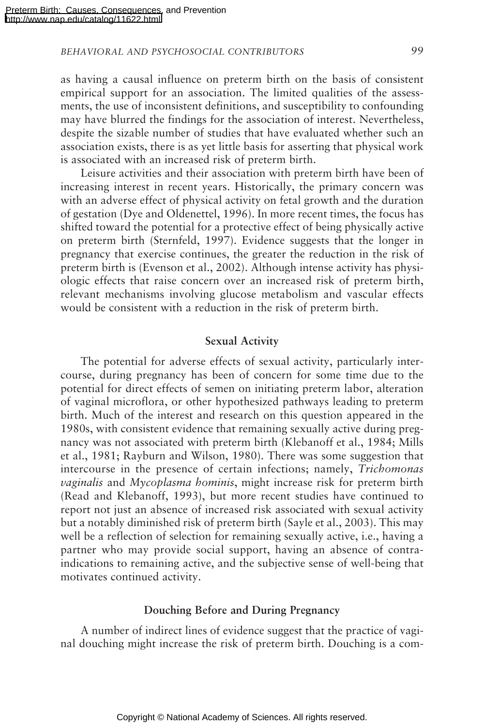as having a causal influence on preterm birth on the basis of consistent empirical support for an association. The limited qualities of the assessments, the use of inconsistent definitions, and susceptibility to confounding may have blurred the findings for the association of interest. Nevertheless, despite the sizable number of studies that have evaluated whether such an association exists, there is as yet little basis for asserting that physical work is associated with an increased risk of preterm birth.

Leisure activities and their association with preterm birth have been of increasing interest in recent years. Historically, the primary concern was with an adverse effect of physical activity on fetal growth and the duration of gestation (Dye and Oldenettel, 1996). In more recent times, the focus has shifted toward the potential for a protective effect of being physically active on preterm birth (Sternfeld, 1997). Evidence suggests that the longer in pregnancy that exercise continues, the greater the reduction in the risk of preterm birth is (Evenson et al., 2002). Although intense activity has physiologic effects that raise concern over an increased risk of preterm birth, relevant mechanisms involving glucose metabolism and vascular effects would be consistent with a reduction in the risk of preterm birth.

# **Sexual Activity**

The potential for adverse effects of sexual activity, particularly intercourse, during pregnancy has been of concern for some time due to the potential for direct effects of semen on initiating preterm labor, alteration of vaginal microflora, or other hypothesized pathways leading to preterm birth. Much of the interest and research on this question appeared in the 1980s, with consistent evidence that remaining sexually active during pregnancy was not associated with preterm birth (Klebanoff et al., 1984; Mills et al., 1981; Rayburn and Wilson, 1980). There was some suggestion that intercourse in the presence of certain infections; namely, *Trichomonas vaginalis* and *Mycoplasma hominis*, might increase risk for preterm birth (Read and Klebanoff, 1993), but more recent studies have continued to report not just an absence of increased risk associated with sexual activity but a notably diminished risk of preterm birth (Sayle et al., 2003). This may well be a reflection of selection for remaining sexually active, i.e., having a partner who may provide social support, having an absence of contraindications to remaining active, and the subjective sense of well-being that motivates continued activity.

# **Douching Before and During Pregnancy**

A number of indirect lines of evidence suggest that the practice of vaginal douching might increase the risk of preterm birth. Douching is a com-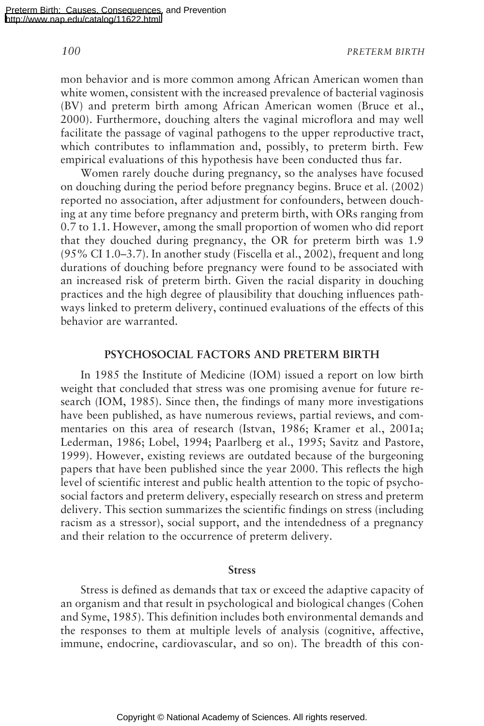mon behavior and is more common among African American women than white women, consistent with the increased prevalence of bacterial vaginosis (BV) and preterm birth among African American women (Bruce et al., 2000). Furthermore, douching alters the vaginal microflora and may well facilitate the passage of vaginal pathogens to the upper reproductive tract, which contributes to inflammation and, possibly, to preterm birth. Few empirical evaluations of this hypothesis have been conducted thus far.

Women rarely douche during pregnancy, so the analyses have focused on douching during the period before pregnancy begins. Bruce et al. (2002) reported no association, after adjustment for confounders, between douching at any time before pregnancy and preterm birth, with ORs ranging from 0.7 to 1.1. However, among the small proportion of women who did report that they douched during pregnancy, the OR for preterm birth was 1.9 (95% CI 1.0–3.7). In another study (Fiscella et al., 2002), frequent and long durations of douching before pregnancy were found to be associated with an increased risk of preterm birth. Given the racial disparity in douching practices and the high degree of plausibility that douching influences pathways linked to preterm delivery, continued evaluations of the effects of this behavior are warranted.

# **PSYCHOSOCIAL FACTORS AND PRETERM BIRTH**

In 1985 the Institute of Medicine (IOM) issued a report on low birth weight that concluded that stress was one promising avenue for future research (IOM, 1985). Since then, the findings of many more investigations have been published, as have numerous reviews, partial reviews, and commentaries on this area of research (Istvan, 1986; Kramer et al., 2001a; Lederman, 1986; Lobel, 1994; Paarlberg et al., 1995; Savitz and Pastore, 1999). However, existing reviews are outdated because of the burgeoning papers that have been published since the year 2000. This reflects the high level of scientific interest and public health attention to the topic of psychosocial factors and preterm delivery, especially research on stress and preterm delivery. This section summarizes the scientific findings on stress (including racism as a stressor), social support, and the intendedness of a pregnancy and their relation to the occurrence of preterm delivery.

# **Stress**

Stress is defined as demands that tax or exceed the adaptive capacity of an organism and that result in psychological and biological changes (Cohen and Syme, 1985). This definition includes both environmental demands and the responses to them at multiple levels of analysis (cognitive, affective, immune, endocrine, cardiovascular, and so on). The breadth of this con-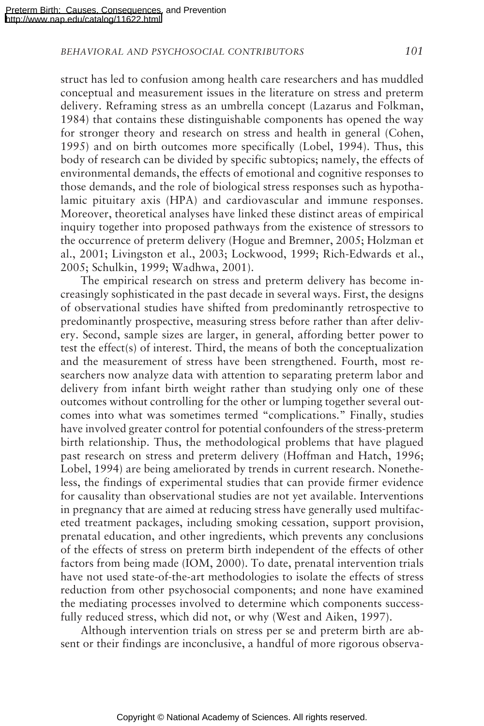struct has led to confusion among health care researchers and has muddled conceptual and measurement issues in the literature on stress and preterm delivery. Reframing stress as an umbrella concept (Lazarus and Folkman, 1984) that contains these distinguishable components has opened the way for stronger theory and research on stress and health in general (Cohen, 1995) and on birth outcomes more specifically (Lobel, 1994). Thus, this body of research can be divided by specific subtopics; namely, the effects of environmental demands, the effects of emotional and cognitive responses to those demands, and the role of biological stress responses such as hypothalamic pituitary axis (HPA) and cardiovascular and immune responses. Moreover, theoretical analyses have linked these distinct areas of empirical inquiry together into proposed pathways from the existence of stressors to the occurrence of preterm delivery (Hogue and Bremner, 2005; Holzman et al., 2001; Livingston et al., 2003; Lockwood, 1999; Rich-Edwards et al., 2005; Schulkin, 1999; Wadhwa, 2001).

The empirical research on stress and preterm delivery has become increasingly sophisticated in the past decade in several ways. First, the designs of observational studies have shifted from predominantly retrospective to predominantly prospective, measuring stress before rather than after delivery. Second, sample sizes are larger, in general, affording better power to test the effect(s) of interest. Third, the means of both the conceptualization and the measurement of stress have been strengthened. Fourth, most researchers now analyze data with attention to separating preterm labor and delivery from infant birth weight rather than studying only one of these outcomes without controlling for the other or lumping together several outcomes into what was sometimes termed "complications." Finally, studies have involved greater control for potential confounders of the stress-preterm birth relationship. Thus, the methodological problems that have plagued past research on stress and preterm delivery (Hoffman and Hatch, 1996; Lobel, 1994) are being ameliorated by trends in current research. Nonetheless, the findings of experimental studies that can provide firmer evidence for causality than observational studies are not yet available. Interventions in pregnancy that are aimed at reducing stress have generally used multifaceted treatment packages, including smoking cessation, support provision, prenatal education, and other ingredients, which prevents any conclusions of the effects of stress on preterm birth independent of the effects of other factors from being made (IOM, 2000). To date, prenatal intervention trials have not used state-of-the-art methodologies to isolate the effects of stress reduction from other psychosocial components; and none have examined the mediating processes involved to determine which components successfully reduced stress, which did not, or why (West and Aiken, 1997).

Although intervention trials on stress per se and preterm birth are absent or their findings are inconclusive, a handful of more rigorous observa-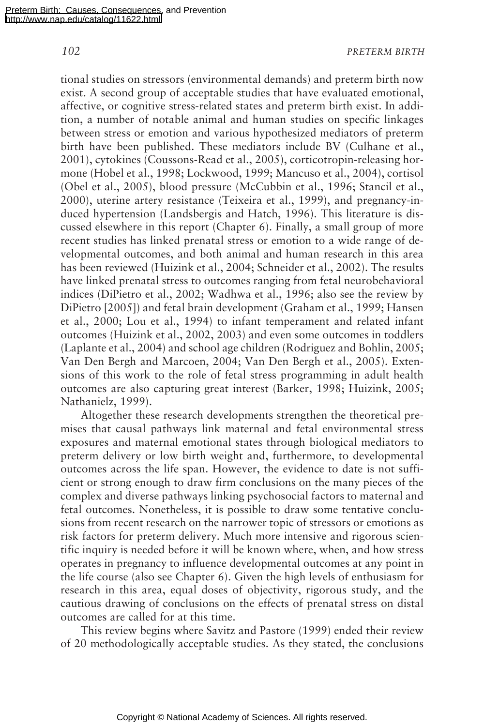tional studies on stressors (environmental demands) and preterm birth now exist. A second group of acceptable studies that have evaluated emotional, affective, or cognitive stress-related states and preterm birth exist. In addition, a number of notable animal and human studies on specific linkages between stress or emotion and various hypothesized mediators of preterm birth have been published. These mediators include BV (Culhane et al., 2001), cytokines (Coussons-Read et al., 2005), corticotropin-releasing hormone (Hobel et al., 1998; Lockwood, 1999; Mancuso et al., 2004), cortisol (Obel et al., 2005), blood pressure (McCubbin et al., 1996; Stancil et al., 2000), uterine artery resistance (Teixeira et al., 1999), and pregnancy-induced hypertension (Landsbergis and Hatch, 1996). This literature is discussed elsewhere in this report (Chapter 6). Finally, a small group of more recent studies has linked prenatal stress or emotion to a wide range of developmental outcomes, and both animal and human research in this area has been reviewed (Huizink et al., 2004; Schneider et al., 2002). The results have linked prenatal stress to outcomes ranging from fetal neurobehavioral indices (DiPietro et al., 2002; Wadhwa et al., 1996; also see the review by DiPietro [2005]) and fetal brain development (Graham et al., 1999; Hansen et al., 2000; Lou et al., 1994) to infant temperament and related infant outcomes (Huizink et al., 2002, 2003) and even some outcomes in toddlers (Laplante et al., 2004) and school age children (Rodriguez and Bohlin, 2005; Van Den Bergh and Marcoen, 2004; Van Den Bergh et al., 2005). Extensions of this work to the role of fetal stress programming in adult health outcomes are also capturing great interest (Barker, 1998; Huizink, 2005; Nathanielz, 1999).

Altogether these research developments strengthen the theoretical premises that causal pathways link maternal and fetal environmental stress exposures and maternal emotional states through biological mediators to preterm delivery or low birth weight and, furthermore, to developmental outcomes across the life span. However, the evidence to date is not sufficient or strong enough to draw firm conclusions on the many pieces of the complex and diverse pathways linking psychosocial factors to maternal and fetal outcomes. Nonetheless, it is possible to draw some tentative conclusions from recent research on the narrower topic of stressors or emotions as risk factors for preterm delivery. Much more intensive and rigorous scientific inquiry is needed before it will be known where, when, and how stress operates in pregnancy to influence developmental outcomes at any point in the life course (also see Chapter 6). Given the high levels of enthusiasm for research in this area, equal doses of objectivity, rigorous study, and the cautious drawing of conclusions on the effects of prenatal stress on distal outcomes are called for at this time.

This review begins where Savitz and Pastore (1999) ended their review of 20 methodologically acceptable studies. As they stated, the conclusions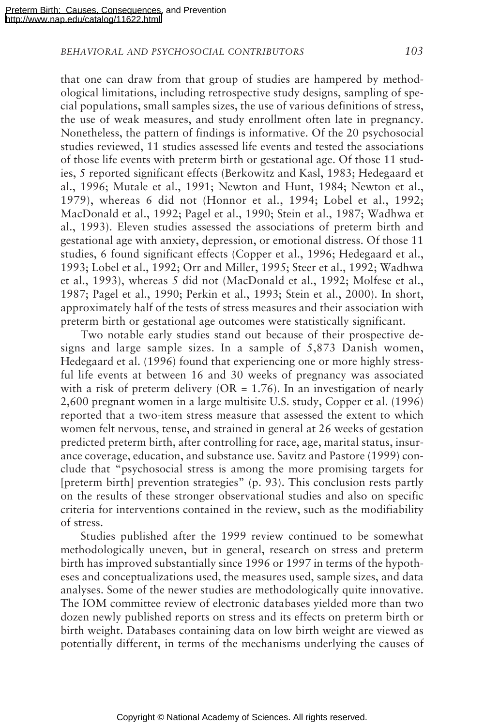that one can draw from that group of studies are hampered by methodological limitations, including retrospective study designs, sampling of special populations, small samples sizes, the use of various definitions of stress, the use of weak measures, and study enrollment often late in pregnancy. Nonetheless, the pattern of findings is informative. Of the 20 psychosocial studies reviewed, 11 studies assessed life events and tested the associations of those life events with preterm birth or gestational age. Of those 11 studies, 5 reported significant effects (Berkowitz and Kasl, 1983; Hedegaard et al., 1996; Mutale et al., 1991; Newton and Hunt, 1984; Newton et al., 1979), whereas 6 did not (Honnor et al., 1994; Lobel et al., 1992; MacDonald et al., 1992; Pagel et al., 1990; Stein et al., 1987; Wadhwa et al., 1993). Eleven studies assessed the associations of preterm birth and gestational age with anxiety, depression, or emotional distress. Of those 11 studies, 6 found significant effects (Copper et al., 1996; Hedegaard et al., 1993; Lobel et al., 1992; Orr and Miller, 1995; Steer et al., 1992; Wadhwa et al., 1993), whereas 5 did not (MacDonald et al., 1992; Molfese et al., 1987; Pagel et al., 1990; Perkin et al., 1993; Stein et al., 2000). In short, approximately half of the tests of stress measures and their association with preterm birth or gestational age outcomes were statistically significant.

Two notable early studies stand out because of their prospective designs and large sample sizes. In a sample of 5,873 Danish women, Hedegaard et al. (1996) found that experiencing one or more highly stressful life events at between 16 and 30 weeks of pregnancy was associated with a risk of preterm delivery ( $OR = 1.76$ ). In an investigation of nearly 2,600 pregnant women in a large multisite U.S. study, Copper et al. (1996) reported that a two-item stress measure that assessed the extent to which women felt nervous, tense, and strained in general at 26 weeks of gestation predicted preterm birth, after controlling for race, age, marital status, insurance coverage, education, and substance use. Savitz and Pastore (1999) conclude that "psychosocial stress is among the more promising targets for [preterm birth] prevention strategies" (p. 93). This conclusion rests partly on the results of these stronger observational studies and also on specific criteria for interventions contained in the review, such as the modifiability of stress.

Studies published after the 1999 review continued to be somewhat methodologically uneven, but in general, research on stress and preterm birth has improved substantially since 1996 or 1997 in terms of the hypotheses and conceptualizations used, the measures used, sample sizes, and data analyses. Some of the newer studies are methodologically quite innovative. The IOM committee review of electronic databases yielded more than two dozen newly published reports on stress and its effects on preterm birth or birth weight. Databases containing data on low birth weight are viewed as potentially different, in terms of the mechanisms underlying the causes of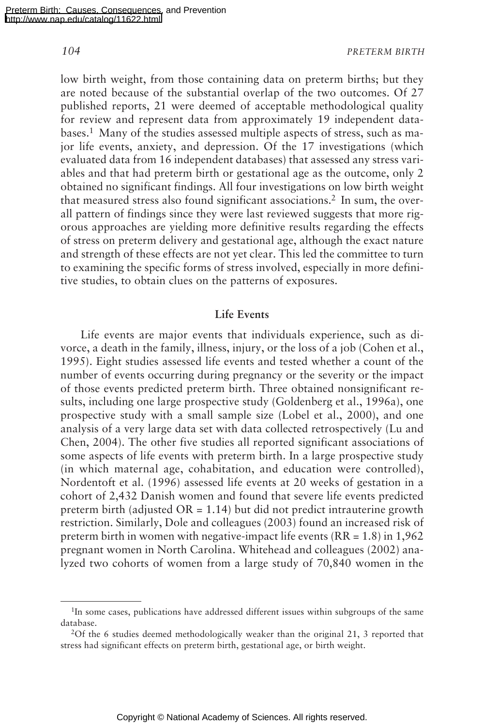low birth weight, from those containing data on preterm births; but they are noted because of the substantial overlap of the two outcomes. Of 27 published reports, 21 were deemed of acceptable methodological quality for review and represent data from approximately 19 independent databases.1 Many of the studies assessed multiple aspects of stress, such as major life events, anxiety, and depression. Of the 17 investigations (which evaluated data from 16 independent databases) that assessed any stress variables and that had preterm birth or gestational age as the outcome, only 2 obtained no significant findings. All four investigations on low birth weight that measured stress also found significant associations.2 In sum, the overall pattern of findings since they were last reviewed suggests that more rigorous approaches are yielding more definitive results regarding the effects of stress on preterm delivery and gestational age, although the exact nature and strength of these effects are not yet clear. This led the committee to turn to examining the specific forms of stress involved, especially in more definitive studies, to obtain clues on the patterns of exposures.

# **Life Events**

Life events are major events that individuals experience, such as divorce, a death in the family, illness, injury, or the loss of a job (Cohen et al., 1995). Eight studies assessed life events and tested whether a count of the number of events occurring during pregnancy or the severity or the impact of those events predicted preterm birth. Three obtained nonsignificant results, including one large prospective study (Goldenberg et al., 1996a), one prospective study with a small sample size (Lobel et al., 2000), and one analysis of a very large data set with data collected retrospectively (Lu and Chen, 2004). The other five studies all reported significant associations of some aspects of life events with preterm birth. In a large prospective study (in which maternal age, cohabitation, and education were controlled), Nordentoft et al. (1996) assessed life events at 20 weeks of gestation in a cohort of 2,432 Danish women and found that severe life events predicted preterm birth (adjusted OR = 1.14) but did not predict intrauterine growth restriction. Similarly, Dole and colleagues (2003) found an increased risk of preterm birth in women with negative-impact life events ( $RR = 1.8$ ) in 1,962 pregnant women in North Carolina. Whitehead and colleagues (2002) analyzed two cohorts of women from a large study of 70,840 women in the

<sup>&</sup>lt;sup>1</sup>In some cases, publications have addressed different issues within subgroups of the same database.

<sup>2</sup>Of the 6 studies deemed methodologically weaker than the original 21, 3 reported that stress had significant effects on preterm birth, gestational age, or birth weight.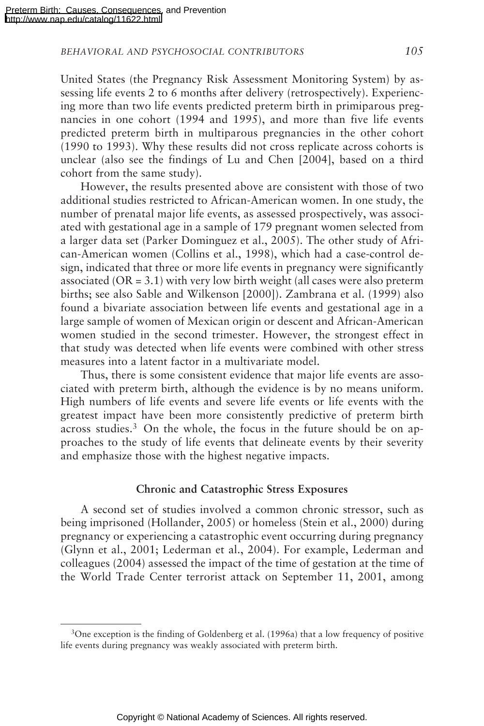United States (the Pregnancy Risk Assessment Monitoring System) by assessing life events 2 to 6 months after delivery (retrospectively). Experiencing more than two life events predicted preterm birth in primiparous pregnancies in one cohort (1994 and 1995), and more than five life events predicted preterm birth in multiparous pregnancies in the other cohort (1990 to 1993). Why these results did not cross replicate across cohorts is unclear (also see the findings of Lu and Chen [2004], based on a third cohort from the same study).

However, the results presented above are consistent with those of two additional studies restricted to African-American women. In one study, the number of prenatal major life events, as assessed prospectively, was associated with gestational age in a sample of 179 pregnant women selected from a larger data set (Parker Dominguez et al., 2005). The other study of African-American women (Collins et al., 1998), which had a case-control design, indicated that three or more life events in pregnancy were significantly associated ( $OR = 3.1$ ) with very low birth weight (all cases were also preterm births; see also Sable and Wilkenson [2000]). Zambrana et al. (1999) also found a bivariate association between life events and gestational age in a large sample of women of Mexican origin or descent and African-American women studied in the second trimester. However, the strongest effect in that study was detected when life events were combined with other stress measures into a latent factor in a multivariate model.

Thus, there is some consistent evidence that major life events are associated with preterm birth, although the evidence is by no means uniform. High numbers of life events and severe life events or life events with the greatest impact have been more consistently predictive of preterm birth across studies.<sup>3</sup> On the whole, the focus in the future should be on approaches to the study of life events that delineate events by their severity and emphasize those with the highest negative impacts.

# **Chronic and Catastrophic Stress Exposures**

A second set of studies involved a common chronic stressor, such as being imprisoned (Hollander, 2005) or homeless (Stein et al., 2000) during pregnancy or experiencing a catastrophic event occurring during pregnancy (Glynn et al., 2001; Lederman et al., 2004). For example, Lederman and colleagues (2004) assessed the impact of the time of gestation at the time of the World Trade Center terrorist attack on September 11, 2001, among

<sup>3</sup>One exception is the finding of Goldenberg et al. (1996a) that a low frequency of positive life events during pregnancy was weakly associated with preterm birth.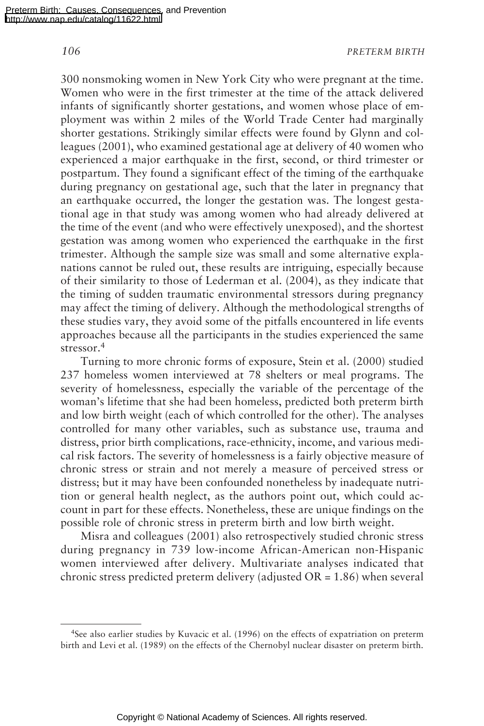300 nonsmoking women in New York City who were pregnant at the time. Women who were in the first trimester at the time of the attack delivered infants of significantly shorter gestations, and women whose place of employment was within 2 miles of the World Trade Center had marginally shorter gestations. Strikingly similar effects were found by Glynn and colleagues (2001), who examined gestational age at delivery of 40 women who experienced a major earthquake in the first, second, or third trimester or postpartum. They found a significant effect of the timing of the earthquake during pregnancy on gestational age, such that the later in pregnancy that an earthquake occurred, the longer the gestation was. The longest gestational age in that study was among women who had already delivered at the time of the event (and who were effectively unexposed), and the shortest gestation was among women who experienced the earthquake in the first trimester. Although the sample size was small and some alternative explanations cannot be ruled out, these results are intriguing, especially because of their similarity to those of Lederman et al. (2004), as they indicate that the timing of sudden traumatic environmental stressors during pregnancy may affect the timing of delivery. Although the methodological strengths of these studies vary, they avoid some of the pitfalls encountered in life events approaches because all the participants in the studies experienced the same stressor.<sup>4</sup>

Turning to more chronic forms of exposure, Stein et al. (2000) studied 237 homeless women interviewed at 78 shelters or meal programs. The severity of homelessness, especially the variable of the percentage of the woman's lifetime that she had been homeless, predicted both preterm birth and low birth weight (each of which controlled for the other). The analyses controlled for many other variables, such as substance use, trauma and distress, prior birth complications, race-ethnicity, income, and various medical risk factors. The severity of homelessness is a fairly objective measure of chronic stress or strain and not merely a measure of perceived stress or distress; but it may have been confounded nonetheless by inadequate nutrition or general health neglect, as the authors point out, which could account in part for these effects. Nonetheless, these are unique findings on the possible role of chronic stress in preterm birth and low birth weight.

Misra and colleagues (2001) also retrospectively studied chronic stress during pregnancy in 739 low-income African-American non-Hispanic women interviewed after delivery. Multivariate analyses indicated that chronic stress predicted preterm delivery (adjusted OR = 1.86) when several

<sup>4</sup>See also earlier studies by Kuvacic et al. (1996) on the effects of expatriation on preterm birth and Levi et al. (1989) on the effects of the Chernobyl nuclear disaster on preterm birth.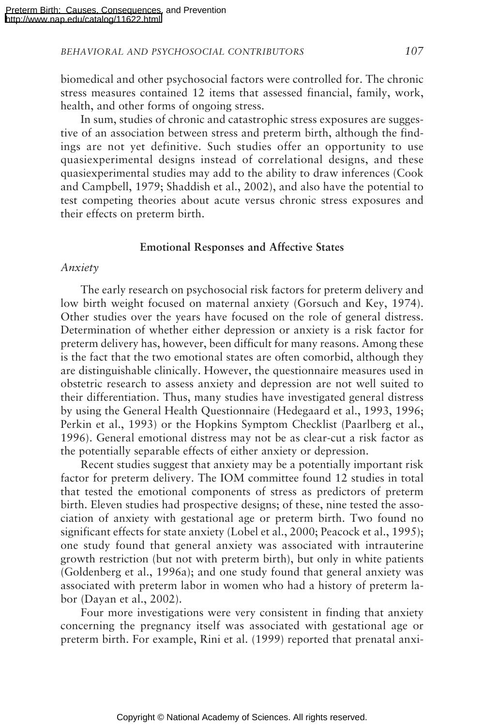biomedical and other psychosocial factors were controlled for. The chronic stress measures contained 12 items that assessed financial, family, work, health, and other forms of ongoing stress.

In sum, studies of chronic and catastrophic stress exposures are suggestive of an association between stress and preterm birth, although the findings are not yet definitive. Such studies offer an opportunity to use quasiexperimental designs instead of correlational designs, and these quasiexperimental studies may add to the ability to draw inferences (Cook and Campbell, 1979; Shaddish et al., 2002), and also have the potential to test competing theories about acute versus chronic stress exposures and their effects on preterm birth.

# **Emotional Responses and Affective States**

# *Anxiety*

The early research on psychosocial risk factors for preterm delivery and low birth weight focused on maternal anxiety (Gorsuch and Key, 1974). Other studies over the years have focused on the role of general distress. Determination of whether either depression or anxiety is a risk factor for preterm delivery has, however, been difficult for many reasons. Among these is the fact that the two emotional states are often comorbid, although they are distinguishable clinically. However, the questionnaire measures used in obstetric research to assess anxiety and depression are not well suited to their differentiation. Thus, many studies have investigated general distress by using the General Health Questionnaire (Hedegaard et al., 1993, 1996; Perkin et al., 1993) or the Hopkins Symptom Checklist (Paarlberg et al., 1996). General emotional distress may not be as clear-cut a risk factor as the potentially separable effects of either anxiety or depression.

Recent studies suggest that anxiety may be a potentially important risk factor for preterm delivery. The IOM committee found 12 studies in total that tested the emotional components of stress as predictors of preterm birth. Eleven studies had prospective designs; of these, nine tested the association of anxiety with gestational age or preterm birth. Two found no significant effects for state anxiety (Lobel et al., 2000; Peacock et al., 1995); one study found that general anxiety was associated with intrauterine growth restriction (but not with preterm birth), but only in white patients (Goldenberg et al., 1996a); and one study found that general anxiety was associated with preterm labor in women who had a history of preterm labor (Dayan et al., 2002).

Four more investigations were very consistent in finding that anxiety concerning the pregnancy itself was associated with gestational age or preterm birth. For example, Rini et al. (1999) reported that prenatal anxi-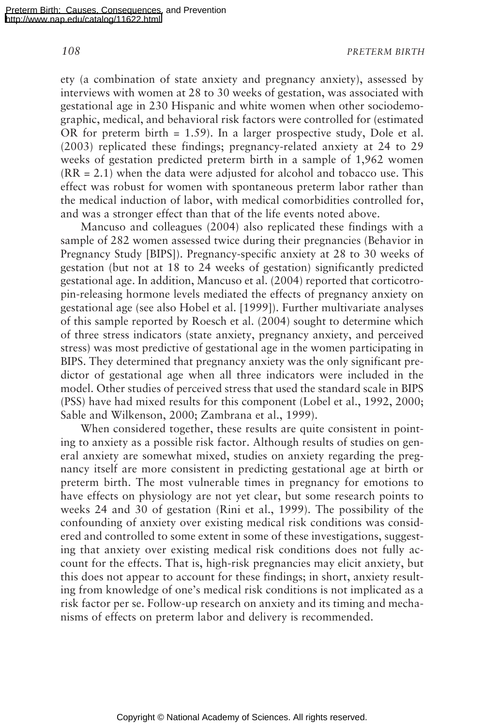# *108 PRETERM BIRTH*

ety (a combination of state anxiety and pregnancy anxiety), assessed by interviews with women at 28 to 30 weeks of gestation, was associated with gestational age in 230 Hispanic and white women when other sociodemographic, medical, and behavioral risk factors were controlled for (estimated OR for preterm birth = 1.59). In a larger prospective study, Dole et al. (2003) replicated these findings; pregnancy-related anxiety at 24 to 29 weeks of gestation predicted preterm birth in a sample of 1,962 women  $(RR = 2.1)$  when the data were adjusted for alcohol and tobacco use. This effect was robust for women with spontaneous preterm labor rather than the medical induction of labor, with medical comorbidities controlled for, and was a stronger effect than that of the life events noted above.

Mancuso and colleagues (2004) also replicated these findings with a sample of 282 women assessed twice during their pregnancies (Behavior in Pregnancy Study [BIPS]). Pregnancy-specific anxiety at 28 to 30 weeks of gestation (but not at 18 to 24 weeks of gestation) significantly predicted gestational age. In addition, Mancuso et al. (2004) reported that corticotropin-releasing hormone levels mediated the effects of pregnancy anxiety on gestational age (see also Hobel et al. [1999]). Further multivariate analyses of this sample reported by Roesch et al. (2004) sought to determine which of three stress indicators (state anxiety, pregnancy anxiety, and perceived stress) was most predictive of gestational age in the women participating in BIPS. They determined that pregnancy anxiety was the only significant predictor of gestational age when all three indicators were included in the model. Other studies of perceived stress that used the standard scale in BIPS (PSS) have had mixed results for this component (Lobel et al., 1992, 2000; Sable and Wilkenson, 2000; Zambrana et al., 1999).

When considered together, these results are quite consistent in pointing to anxiety as a possible risk factor. Although results of studies on general anxiety are somewhat mixed, studies on anxiety regarding the pregnancy itself are more consistent in predicting gestational age at birth or preterm birth. The most vulnerable times in pregnancy for emotions to have effects on physiology are not yet clear, but some research points to weeks 24 and 30 of gestation (Rini et al., 1999). The possibility of the confounding of anxiety over existing medical risk conditions was considered and controlled to some extent in some of these investigations, suggesting that anxiety over existing medical risk conditions does not fully account for the effects. That is, high-risk pregnancies may elicit anxiety, but this does not appear to account for these findings; in short, anxiety resulting from knowledge of one's medical risk conditions is not implicated as a risk factor per se. Follow-up research on anxiety and its timing and mechanisms of effects on preterm labor and delivery is recommended.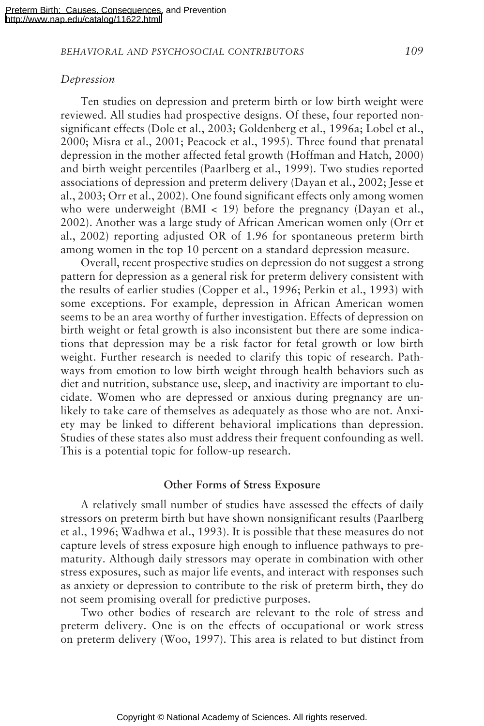## *Depression*

Ten studies on depression and preterm birth or low birth weight were reviewed. All studies had prospective designs. Of these, four reported nonsignificant effects (Dole et al., 2003; Goldenberg et al., 1996a; Lobel et al., 2000; Misra et al., 2001; Peacock et al., 1995). Three found that prenatal depression in the mother affected fetal growth (Hoffman and Hatch, 2000) and birth weight percentiles (Paarlberg et al., 1999). Two studies reported associations of depression and preterm delivery (Dayan et al., 2002; Jesse et al., 2003; Orr et al., 2002). One found significant effects only among women who were underweight (BMI  $\lt$  19) before the pregnancy (Dayan et al., 2002). Another was a large study of African American women only (Orr et al., 2002) reporting adjusted OR of 1.96 for spontaneous preterm birth among women in the top 10 percent on a standard depression measure.

Overall, recent prospective studies on depression do not suggest a strong pattern for depression as a general risk for preterm delivery consistent with the results of earlier studies (Copper et al., 1996; Perkin et al., 1993) with some exceptions. For example, depression in African American women seems to be an area worthy of further investigation. Effects of depression on birth weight or fetal growth is also inconsistent but there are some indications that depression may be a risk factor for fetal growth or low birth weight. Further research is needed to clarify this topic of research. Pathways from emotion to low birth weight through health behaviors such as diet and nutrition, substance use, sleep, and inactivity are important to elucidate. Women who are depressed or anxious during pregnancy are unlikely to take care of themselves as adequately as those who are not. Anxiety may be linked to different behavioral implications than depression. Studies of these states also must address their frequent confounding as well. This is a potential topic for follow-up research.

# **Other Forms of Stress Exposure**

A relatively small number of studies have assessed the effects of daily stressors on preterm birth but have shown nonsignificant results (Paarlberg et al., 1996; Wadhwa et al., 1993). It is possible that these measures do not capture levels of stress exposure high enough to influence pathways to prematurity. Although daily stressors may operate in combination with other stress exposures, such as major life events, and interact with responses such as anxiety or depression to contribute to the risk of preterm birth, they do not seem promising overall for predictive purposes.

Two other bodies of research are relevant to the role of stress and preterm delivery. One is on the effects of occupational or work stress on preterm delivery (Woo, 1997). This area is related to but distinct from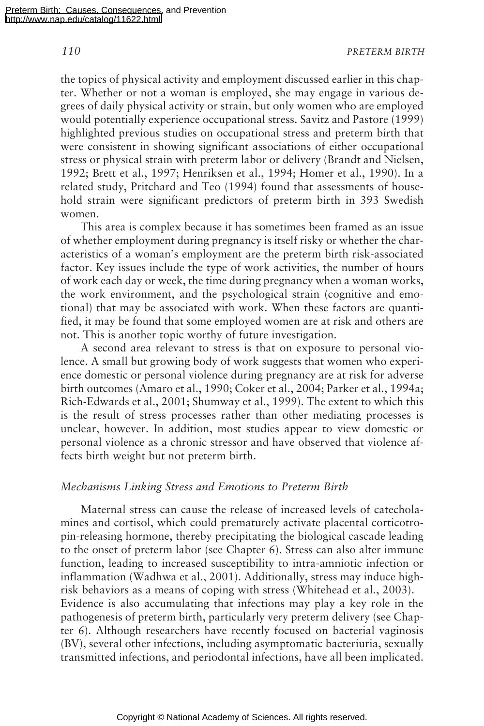the topics of physical activity and employment discussed earlier in this chapter. Whether or not a woman is employed, she may engage in various degrees of daily physical activity or strain, but only women who are employed would potentially experience occupational stress. Savitz and Pastore (1999) highlighted previous studies on occupational stress and preterm birth that were consistent in showing significant associations of either occupational stress or physical strain with preterm labor or delivery (Brandt and Nielsen, 1992; Brett et al., 1997; Henriksen et al., 1994; Homer et al., 1990). In a related study, Pritchard and Teo (1994) found that assessments of household strain were significant predictors of preterm birth in 393 Swedish women.

This area is complex because it has sometimes been framed as an issue of whether employment during pregnancy is itself risky or whether the characteristics of a woman's employment are the preterm birth risk-associated factor. Key issues include the type of work activities, the number of hours of work each day or week, the time during pregnancy when a woman works, the work environment, and the psychological strain (cognitive and emotional) that may be associated with work. When these factors are quantified, it may be found that some employed women are at risk and others are not. This is another topic worthy of future investigation.

A second area relevant to stress is that on exposure to personal violence. A small but growing body of work suggests that women who experience domestic or personal violence during pregnancy are at risk for adverse birth outcomes (Amaro et al., 1990; Coker et al., 2004; Parker et al., 1994a; Rich-Edwards et al., 2001; Shumway et al., 1999). The extent to which this is the result of stress processes rather than other mediating processes is unclear, however. In addition, most studies appear to view domestic or personal violence as a chronic stressor and have observed that violence affects birth weight but not preterm birth.

# *Mechanisms Linking Stress and Emotions to Preterm Birth*

Maternal stress can cause the release of increased levels of catecholamines and cortisol, which could prematurely activate placental corticotropin-releasing hormone, thereby precipitating the biological cascade leading to the onset of preterm labor (see Chapter 6). Stress can also alter immune function, leading to increased susceptibility to intra-amniotic infection or inflammation (Wadhwa et al., 2001). Additionally, stress may induce highrisk behaviors as a means of coping with stress (Whitehead et al., 2003). Evidence is also accumulating that infections may play a key role in the pathogenesis of preterm birth, particularly very preterm delivery (see Chapter 6). Although researchers have recently focused on bacterial vaginosis (BV), several other infections, including asymptomatic bacteriuria, sexually transmitted infections, and periodontal infections, have all been implicated.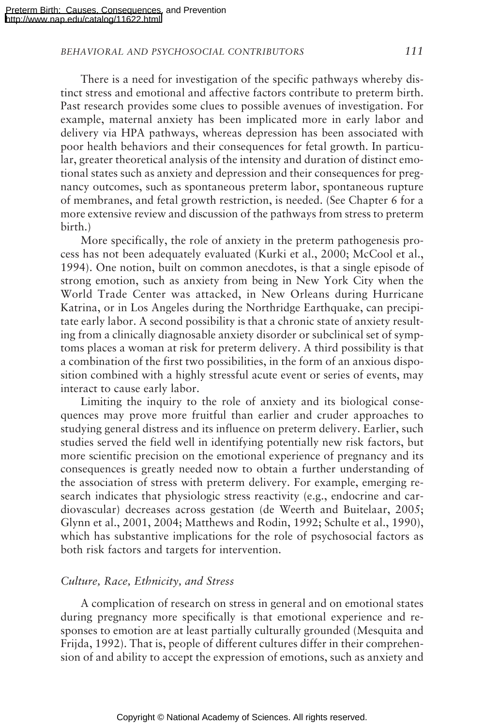There is a need for investigation of the specific pathways whereby distinct stress and emotional and affective factors contribute to preterm birth. Past research provides some clues to possible avenues of investigation. For example, maternal anxiety has been implicated more in early labor and delivery via HPA pathways, whereas depression has been associated with poor health behaviors and their consequences for fetal growth. In particular, greater theoretical analysis of the intensity and duration of distinct emotional states such as anxiety and depression and their consequences for pregnancy outcomes, such as spontaneous preterm labor, spontaneous rupture of membranes, and fetal growth restriction, is needed. (See Chapter 6 for a more extensive review and discussion of the pathways from stress to preterm birth.)

More specifically, the role of anxiety in the preterm pathogenesis process has not been adequately evaluated (Kurki et al., 2000; McCool et al., 1994). One notion, built on common anecdotes, is that a single episode of strong emotion, such as anxiety from being in New York City when the World Trade Center was attacked, in New Orleans during Hurricane Katrina, or in Los Angeles during the Northridge Earthquake, can precipitate early labor. A second possibility is that a chronic state of anxiety resulting from a clinically diagnosable anxiety disorder or subclinical set of symptoms places a woman at risk for preterm delivery. A third possibility is that a combination of the first two possibilities, in the form of an anxious disposition combined with a highly stressful acute event or series of events, may interact to cause early labor.

Limiting the inquiry to the role of anxiety and its biological consequences may prove more fruitful than earlier and cruder approaches to studying general distress and its influence on preterm delivery. Earlier, such studies served the field well in identifying potentially new risk factors, but more scientific precision on the emotional experience of pregnancy and its consequences is greatly needed now to obtain a further understanding of the association of stress with preterm delivery. For example, emerging research indicates that physiologic stress reactivity (e.g., endocrine and cardiovascular) decreases across gestation (de Weerth and Buitelaar, 2005; Glynn et al., 2001, 2004; Matthews and Rodin, 1992; Schulte et al., 1990), which has substantive implications for the role of psychosocial factors as both risk factors and targets for intervention.

# *Culture, Race, Ethnicity, and Stress*

A complication of research on stress in general and on emotional states during pregnancy more specifically is that emotional experience and responses to emotion are at least partially culturally grounded (Mesquita and Frijda, 1992). That is, people of different cultures differ in their comprehension of and ability to accept the expression of emotions, such as anxiety and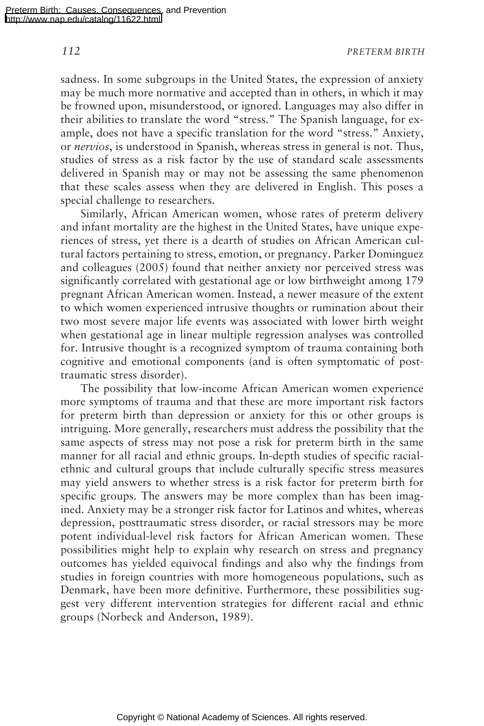# *112 PRETERM BIRTH*

sadness. In some subgroups in the United States, the expression of anxiety may be much more normative and accepted than in others, in which it may be frowned upon, misunderstood, or ignored. Languages may also differ in their abilities to translate the word "stress." The Spanish language, for example, does not have a specific translation for the word "stress." Anxiety, or *nervios*, is understood in Spanish, whereas stress in general is not. Thus, studies of stress as a risk factor by the use of standard scale assessments delivered in Spanish may or may not be assessing the same phenomenon that these scales assess when they are delivered in English. This poses a special challenge to researchers.

Similarly, African American women, whose rates of preterm delivery and infant mortality are the highest in the United States, have unique experiences of stress, yet there is a dearth of studies on African American cultural factors pertaining to stress, emotion, or pregnancy. Parker Dominguez and colleagues (2005) found that neither anxiety nor perceived stress was significantly correlated with gestational age or low birthweight among 179 pregnant African American women. Instead, a newer measure of the extent to which women experienced intrusive thoughts or rumination about their two most severe major life events was associated with lower birth weight when gestational age in linear multiple regression analyses was controlled for. Intrusive thought is a recognized symptom of trauma containing both cognitive and emotional components (and is often symptomatic of posttraumatic stress disorder).

The possibility that low-income African American women experience more symptoms of trauma and that these are more important risk factors for preterm birth than depression or anxiety for this or other groups is intriguing. More generally, researchers must address the possibility that the same aspects of stress may not pose a risk for preterm birth in the same manner for all racial and ethnic groups. In-depth studies of specific racialethnic and cultural groups that include culturally specific stress measures may yield answers to whether stress is a risk factor for preterm birth for specific groups. The answers may be more complex than has been imagined. Anxiety may be a stronger risk factor for Latinos and whites, whereas depression, posttraumatic stress disorder, or racial stressors may be more potent individual-level risk factors for African American women. These possibilities might help to explain why research on stress and pregnancy outcomes has yielded equivocal findings and also why the findings from studies in foreign countries with more homogeneous populations, such as Denmark, have been more definitive. Furthermore, these possibilities suggest very different intervention strategies for different racial and ethnic groups (Norbeck and Anderson, 1989).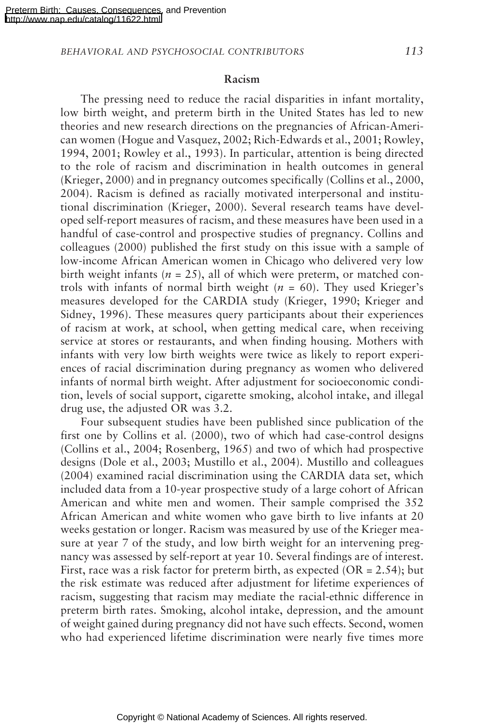# **Racism**

The pressing need to reduce the racial disparities in infant mortality, low birth weight, and preterm birth in the United States has led to new theories and new research directions on the pregnancies of African-American women (Hogue and Vasquez, 2002; Rich-Edwards et al., 2001; Rowley, 1994, 2001; Rowley et al., 1993). In particular, attention is being directed to the role of racism and discrimination in health outcomes in general (Krieger, 2000) and in pregnancy outcomes specifically (Collins et al., 2000, 2004). Racism is defined as racially motivated interpersonal and institutional discrimination (Krieger, 2000). Several research teams have developed self-report measures of racism, and these measures have been used in a handful of case-control and prospective studies of pregnancy. Collins and colleagues (2000) published the first study on this issue with a sample of low-income African American women in Chicago who delivered very low birth weight infants ( $n = 25$ ), all of which were preterm, or matched controls with infants of normal birth weight  $(n = 60)$ . They used Krieger's measures developed for the CARDIA study (Krieger, 1990; Krieger and Sidney, 1996). These measures query participants about their experiences of racism at work, at school, when getting medical care, when receiving service at stores or restaurants, and when finding housing. Mothers with infants with very low birth weights were twice as likely to report experiences of racial discrimination during pregnancy as women who delivered infants of normal birth weight. After adjustment for socioeconomic condition, levels of social support, cigarette smoking, alcohol intake, and illegal drug use, the adjusted OR was 3.2.

Four subsequent studies have been published since publication of the first one by Collins et al. (2000), two of which had case-control designs (Collins et al., 2004; Rosenberg, 1965) and two of which had prospective designs (Dole et al., 2003; Mustillo et al., 2004). Mustillo and colleagues (2004) examined racial discrimination using the CARDIA data set, which included data from a 10-year prospective study of a large cohort of African American and white men and women. Their sample comprised the 352 African American and white women who gave birth to live infants at 20 weeks gestation or longer. Racism was measured by use of the Krieger measure at year 7 of the study, and low birth weight for an intervening pregnancy was assessed by self-report at year 10. Several findings are of interest. First, race was a risk factor for preterm birth, as expected  $(OR = 2.54)$ ; but the risk estimate was reduced after adjustment for lifetime experiences of racism, suggesting that racism may mediate the racial-ethnic difference in preterm birth rates. Smoking, alcohol intake, depression, and the amount of weight gained during pregnancy did not have such effects. Second, women who had experienced lifetime discrimination were nearly five times more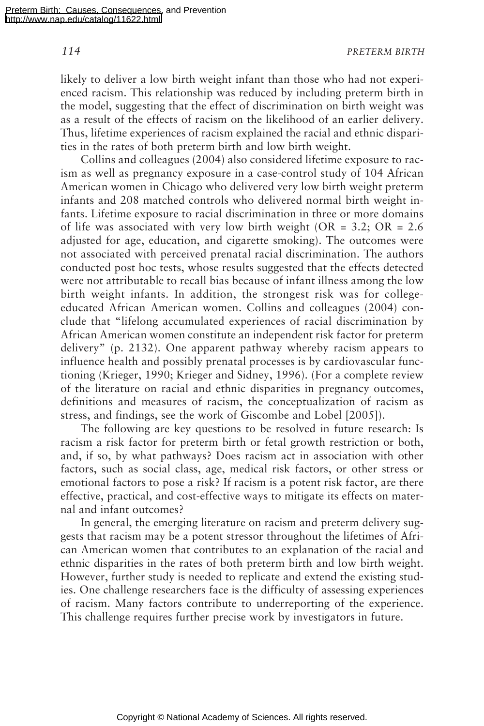likely to deliver a low birth weight infant than those who had not experienced racism. This relationship was reduced by including preterm birth in the model, suggesting that the effect of discrimination on birth weight was as a result of the effects of racism on the likelihood of an earlier delivery. Thus, lifetime experiences of racism explained the racial and ethnic disparities in the rates of both preterm birth and low birth weight.

Collins and colleagues (2004) also considered lifetime exposure to racism as well as pregnancy exposure in a case-control study of 104 African American women in Chicago who delivered very low birth weight preterm infants and 208 matched controls who delivered normal birth weight infants. Lifetime exposure to racial discrimination in three or more domains of life was associated with very low birth weight (OR =  $3.2$ ; OR =  $2.6$ ) adjusted for age, education, and cigarette smoking). The outcomes were not associated with perceived prenatal racial discrimination. The authors conducted post hoc tests, whose results suggested that the effects detected were not attributable to recall bias because of infant illness among the low birth weight infants. In addition, the strongest risk was for collegeeducated African American women. Collins and colleagues (2004) conclude that "lifelong accumulated experiences of racial discrimination by African American women constitute an independent risk factor for preterm delivery" (p. 2132). One apparent pathway whereby racism appears to influence health and possibly prenatal processes is by cardiovascular functioning (Krieger, 1990; Krieger and Sidney, 1996). (For a complete review of the literature on racial and ethnic disparities in pregnancy outcomes, definitions and measures of racism, the conceptualization of racism as stress, and findings, see the work of Giscombe and Lobel [2005]).

The following are key questions to be resolved in future research: Is racism a risk factor for preterm birth or fetal growth restriction or both, and, if so, by what pathways? Does racism act in association with other factors, such as social class, age, medical risk factors, or other stress or emotional factors to pose a risk? If racism is a potent risk factor, are there effective, practical, and cost-effective ways to mitigate its effects on maternal and infant outcomes?

In general, the emerging literature on racism and preterm delivery suggests that racism may be a potent stressor throughout the lifetimes of African American women that contributes to an explanation of the racial and ethnic disparities in the rates of both preterm birth and low birth weight. However, further study is needed to replicate and extend the existing studies. One challenge researchers face is the difficulty of assessing experiences of racism. Many factors contribute to underreporting of the experience. This challenge requires further precise work by investigators in future.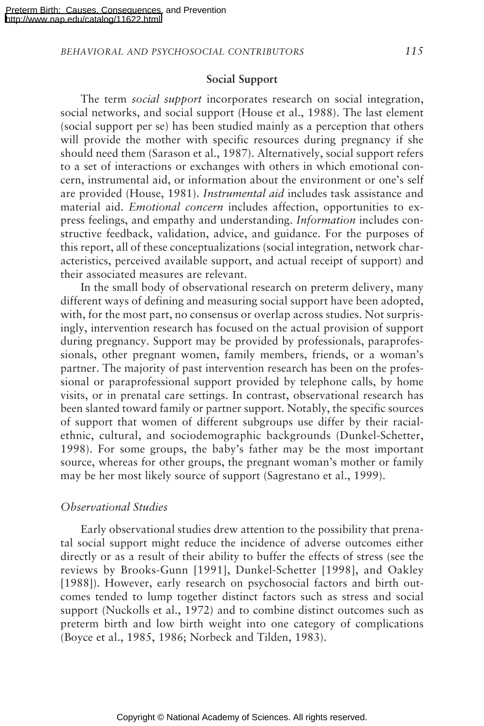# **Social Support**

The term *social support* incorporates research on social integration, social networks, and social support (House et al., 1988). The last element (social support per se) has been studied mainly as a perception that others will provide the mother with specific resources during pregnancy if she should need them (Sarason et al., 1987). Alternatively, social support refers to a set of interactions or exchanges with others in which emotional concern, instrumental aid, or information about the environment or one's self are provided (House, 1981). *Instrumental aid* includes task assistance and material aid. *Emotional concern* includes affection, opportunities to express feelings, and empathy and understanding. *Information* includes constructive feedback, validation, advice, and guidance. For the purposes of this report, all of these conceptualizations (social integration, network characteristics, perceived available support, and actual receipt of support) and their associated measures are relevant.

In the small body of observational research on preterm delivery, many different ways of defining and measuring social support have been adopted, with, for the most part, no consensus or overlap across studies. Not surprisingly, intervention research has focused on the actual provision of support during pregnancy. Support may be provided by professionals, paraprofessionals, other pregnant women, family members, friends, or a woman's partner. The majority of past intervention research has been on the professional or paraprofessional support provided by telephone calls, by home visits, or in prenatal care settings. In contrast, observational research has been slanted toward family or partner support. Notably, the specific sources of support that women of different subgroups use differ by their racialethnic, cultural, and sociodemographic backgrounds (Dunkel-Schetter, 1998). For some groups, the baby's father may be the most important source, whereas for other groups, the pregnant woman's mother or family may be her most likely source of support (Sagrestano et al., 1999).

# *Observational Studies*

Early observational studies drew attention to the possibility that prenatal social support might reduce the incidence of adverse outcomes either directly or as a result of their ability to buffer the effects of stress (see the reviews by Brooks-Gunn [1991], Dunkel-Schetter [1998], and Oakley [1988]). However, early research on psychosocial factors and birth outcomes tended to lump together distinct factors such as stress and social support (Nuckolls et al., 1972) and to combine distinct outcomes such as preterm birth and low birth weight into one category of complications (Boyce et al., 1985, 1986; Norbeck and Tilden, 1983).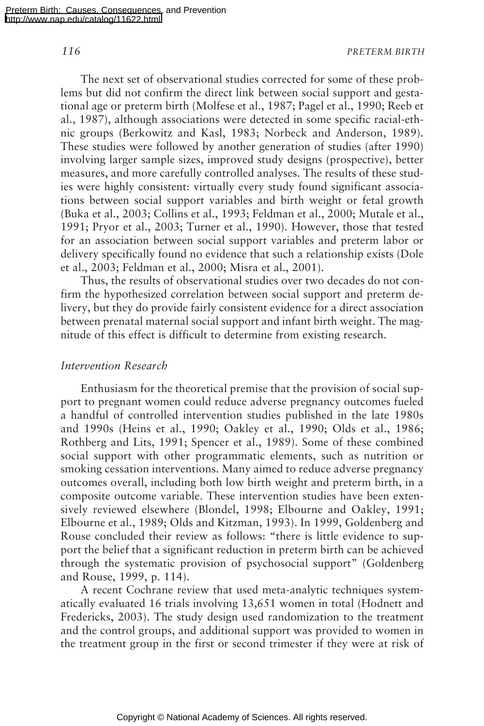The next set of observational studies corrected for some of these problems but did not confirm the direct link between social support and gestational age or preterm birth (Molfese et al., 1987; Pagel et al., 1990; Reeb et al., 1987), although associations were detected in some specific racial-ethnic groups (Berkowitz and Kasl, 1983; Norbeck and Anderson, 1989). These studies were followed by another generation of studies (after 1990) involving larger sample sizes, improved study designs (prospective), better measures, and more carefully controlled analyses. The results of these studies were highly consistent: virtually every study found significant associations between social support variables and birth weight or fetal growth (Buka et al., 2003; Collins et al., 1993; Feldman et al., 2000; Mutale et al., 1991; Pryor et al., 2003; Turner et al., 1990). However, those that tested for an association between social support variables and preterm labor or delivery specifically found no evidence that such a relationship exists (Dole et al., 2003; Feldman et al., 2000; Misra et al., 2001).

Thus, the results of observational studies over two decades do not confirm the hypothesized correlation between social support and preterm delivery, but they do provide fairly consistent evidence for a direct association between prenatal maternal social support and infant birth weight. The magnitude of this effect is difficult to determine from existing research.

# *Intervention Research*

Enthusiasm for the theoretical premise that the provision of social support to pregnant women could reduce adverse pregnancy outcomes fueled a handful of controlled intervention studies published in the late 1980s and 1990s (Heins et al., 1990; Oakley et al., 1990; Olds et al., 1986; Rothberg and Lits, 1991; Spencer et al., 1989). Some of these combined social support with other programmatic elements, such as nutrition or smoking cessation interventions. Many aimed to reduce adverse pregnancy outcomes overall, including both low birth weight and preterm birth, in a composite outcome variable. These intervention studies have been extensively reviewed elsewhere (Blondel, 1998; Elbourne and Oakley, 1991; Elbourne et al., 1989; Olds and Kitzman, 1993). In 1999, Goldenberg and Rouse concluded their review as follows: "there is little evidence to support the belief that a significant reduction in preterm birth can be achieved through the systematic provision of psychosocial support" (Goldenberg and Rouse, 1999, p. 114).

A recent Cochrane review that used meta-analytic techniques systematically evaluated 16 trials involving 13,651 women in total (Hodnett and Fredericks, 2003). The study design used randomization to the treatment and the control groups, and additional support was provided to women in the treatment group in the first or second trimester if they were at risk of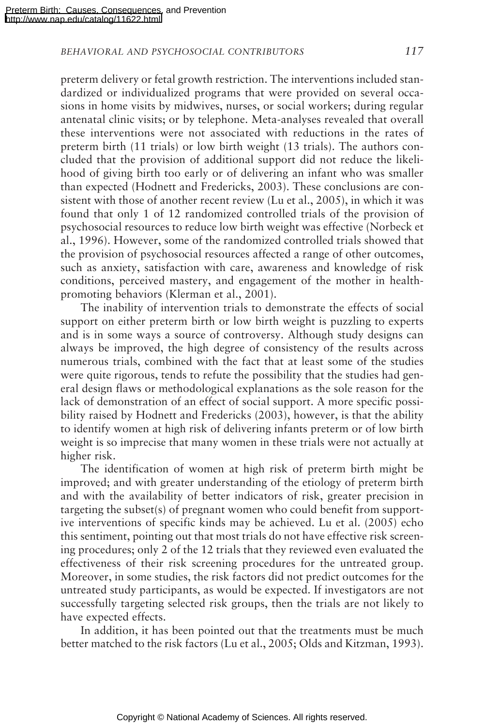preterm delivery or fetal growth restriction. The interventions included standardized or individualized programs that were provided on several occasions in home visits by midwives, nurses, or social workers; during regular antenatal clinic visits; or by telephone. Meta-analyses revealed that overall these interventions were not associated with reductions in the rates of preterm birth (11 trials) or low birth weight (13 trials). The authors concluded that the provision of additional support did not reduce the likelihood of giving birth too early or of delivering an infant who was smaller than expected (Hodnett and Fredericks, 2003). These conclusions are consistent with those of another recent review (Lu et al., 2005), in which it was found that only 1 of 12 randomized controlled trials of the provision of psychosocial resources to reduce low birth weight was effective (Norbeck et al., 1996). However, some of the randomized controlled trials showed that the provision of psychosocial resources affected a range of other outcomes, such as anxiety, satisfaction with care, awareness and knowledge of risk conditions, perceived mastery, and engagement of the mother in healthpromoting behaviors (Klerman et al., 2001).

The inability of intervention trials to demonstrate the effects of social support on either preterm birth or low birth weight is puzzling to experts and is in some ways a source of controversy. Although study designs can always be improved, the high degree of consistency of the results across numerous trials, combined with the fact that at least some of the studies were quite rigorous, tends to refute the possibility that the studies had general design flaws or methodological explanations as the sole reason for the lack of demonstration of an effect of social support. A more specific possibility raised by Hodnett and Fredericks (2003), however, is that the ability to identify women at high risk of delivering infants preterm or of low birth weight is so imprecise that many women in these trials were not actually at higher risk.

The identification of women at high risk of preterm birth might be improved; and with greater understanding of the etiology of preterm birth and with the availability of better indicators of risk, greater precision in targeting the subset(s) of pregnant women who could benefit from supportive interventions of specific kinds may be achieved. Lu et al. (2005) echo this sentiment, pointing out that most trials do not have effective risk screening procedures; only 2 of the 12 trials that they reviewed even evaluated the effectiveness of their risk screening procedures for the untreated group. Moreover, in some studies, the risk factors did not predict outcomes for the untreated study participants, as would be expected. If investigators are not successfully targeting selected risk groups, then the trials are not likely to have expected effects.

In addition, it has been pointed out that the treatments must be much better matched to the risk factors (Lu et al., 2005; Olds and Kitzman, 1993).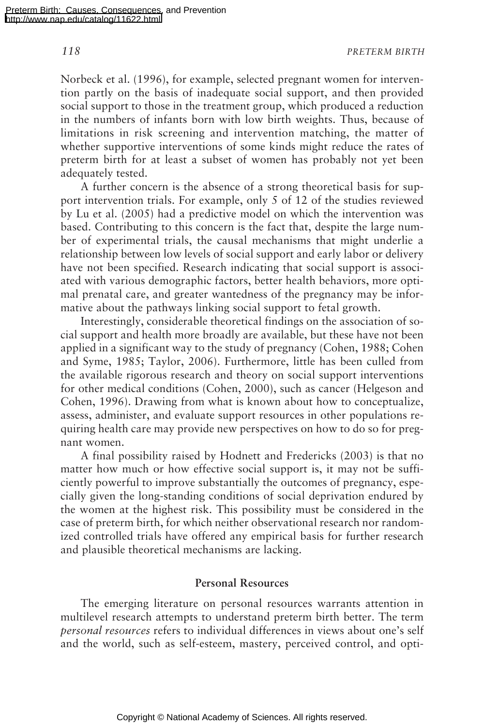# *118 PRETERM BIRTH*

Norbeck et al. (1996), for example, selected pregnant women for intervention partly on the basis of inadequate social support, and then provided social support to those in the treatment group, which produced a reduction in the numbers of infants born with low birth weights. Thus, because of limitations in risk screening and intervention matching, the matter of whether supportive interventions of some kinds might reduce the rates of preterm birth for at least a subset of women has probably not yet been adequately tested.

A further concern is the absence of a strong theoretical basis for support intervention trials. For example, only 5 of 12 of the studies reviewed by Lu et al. (2005) had a predictive model on which the intervention was based. Contributing to this concern is the fact that, despite the large number of experimental trials, the causal mechanisms that might underlie a relationship between low levels of social support and early labor or delivery have not been specified. Research indicating that social support is associated with various demographic factors, better health behaviors, more optimal prenatal care, and greater wantedness of the pregnancy may be informative about the pathways linking social support to fetal growth.

Interestingly, considerable theoretical findings on the association of social support and health more broadly are available, but these have not been applied in a significant way to the study of pregnancy (Cohen, 1988; Cohen and Syme, 1985; Taylor, 2006). Furthermore, little has been culled from the available rigorous research and theory on social support interventions for other medical conditions (Cohen, 2000), such as cancer (Helgeson and Cohen, 1996). Drawing from what is known about how to conceptualize, assess, administer, and evaluate support resources in other populations requiring health care may provide new perspectives on how to do so for pregnant women.

A final possibility raised by Hodnett and Fredericks (2003) is that no matter how much or how effective social support is, it may not be sufficiently powerful to improve substantially the outcomes of pregnancy, especially given the long-standing conditions of social deprivation endured by the women at the highest risk. This possibility must be considered in the case of preterm birth, for which neither observational research nor randomized controlled trials have offered any empirical basis for further research and plausible theoretical mechanisms are lacking.

# **Personal Resources**

The emerging literature on personal resources warrants attention in multilevel research attempts to understand preterm birth better. The term *personal resources* refers to individual differences in views about one's self and the world, such as self-esteem, mastery, perceived control, and opti-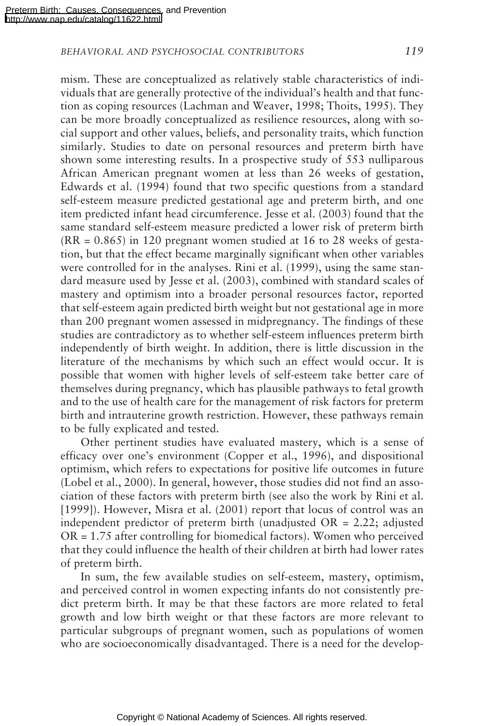mism. These are conceptualized as relatively stable characteristics of individuals that are generally protective of the individual's health and that function as coping resources (Lachman and Weaver, 1998; Thoits, 1995). They can be more broadly conceptualized as resilience resources, along with social support and other values, beliefs, and personality traits, which function similarly. Studies to date on personal resources and preterm birth have shown some interesting results. In a prospective study of 553 nulliparous African American pregnant women at less than 26 weeks of gestation, Edwards et al. (1994) found that two specific questions from a standard self-esteem measure predicted gestational age and preterm birth, and one item predicted infant head circumference. Jesse et al. (2003) found that the same standard self-esteem measure predicted a lower risk of preterm birth (RR = 0.865) in 120 pregnant women studied at 16 to 28 weeks of gestation, but that the effect became marginally significant when other variables were controlled for in the analyses. Rini et al. (1999), using the same standard measure used by Jesse et al. (2003), combined with standard scales of mastery and optimism into a broader personal resources factor, reported that self-esteem again predicted birth weight but not gestational age in more than 200 pregnant women assessed in midpregnancy. The findings of these studies are contradictory as to whether self-esteem influences preterm birth independently of birth weight. In addition, there is little discussion in the literature of the mechanisms by which such an effect would occur. It is possible that women with higher levels of self-esteem take better care of themselves during pregnancy, which has plausible pathways to fetal growth and to the use of health care for the management of risk factors for preterm birth and intrauterine growth restriction. However, these pathways remain to be fully explicated and tested.

Other pertinent studies have evaluated mastery, which is a sense of efficacy over one's environment (Copper et al., 1996), and dispositional optimism, which refers to expectations for positive life outcomes in future (Lobel et al., 2000). In general, however, those studies did not find an association of these factors with preterm birth (see also the work by Rini et al. [1999]). However, Misra et al. (2001) report that locus of control was an independent predictor of preterm birth (unadjusted  $OR = 2.22$ ; adjusted OR = 1.75 after controlling for biomedical factors). Women who perceived that they could influence the health of their children at birth had lower rates of preterm birth.

In sum, the few available studies on self-esteem, mastery, optimism, and perceived control in women expecting infants do not consistently predict preterm birth. It may be that these factors are more related to fetal growth and low birth weight or that these factors are more relevant to particular subgroups of pregnant women, such as populations of women who are socioeconomically disadvantaged. There is a need for the develop-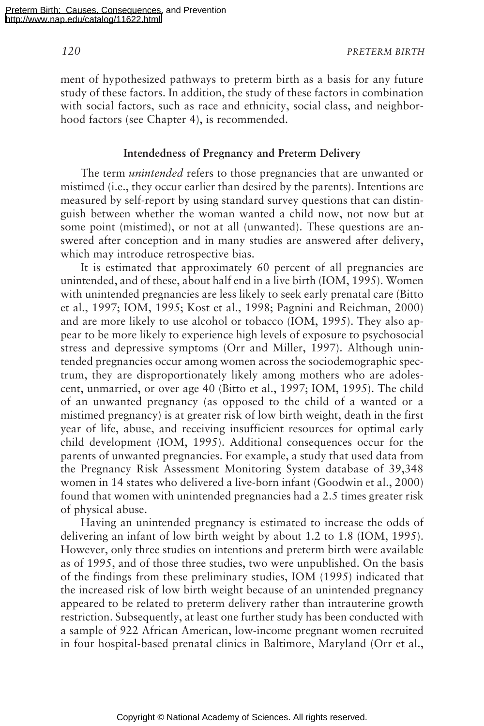ment of hypothesized pathways to preterm birth as a basis for any future study of these factors. In addition, the study of these factors in combination with social factors, such as race and ethnicity, social class, and neighborhood factors (see Chapter 4), is recommended.

# **Intendedness of Pregnancy and Preterm Delivery**

The term *unintended* refers to those pregnancies that are unwanted or mistimed (i.e., they occur earlier than desired by the parents). Intentions are measured by self-report by using standard survey questions that can distinguish between whether the woman wanted a child now, not now but at some point (mistimed), or not at all (unwanted). These questions are answered after conception and in many studies are answered after delivery, which may introduce retrospective bias.

It is estimated that approximately 60 percent of all pregnancies are unintended, and of these, about half end in a live birth (IOM, 1995). Women with unintended pregnancies are less likely to seek early prenatal care (Bitto et al., 1997; IOM, 1995; Kost et al., 1998; Pagnini and Reichman, 2000) and are more likely to use alcohol or tobacco (IOM, 1995). They also appear to be more likely to experience high levels of exposure to psychosocial stress and depressive symptoms (Orr and Miller, 1997). Although unintended pregnancies occur among women across the sociodemographic spectrum, they are disproportionately likely among mothers who are adolescent, unmarried, or over age 40 (Bitto et al., 1997; IOM, 1995). The child of an unwanted pregnancy (as opposed to the child of a wanted or a mistimed pregnancy) is at greater risk of low birth weight, death in the first year of life, abuse, and receiving insufficient resources for optimal early child development (IOM, 1995). Additional consequences occur for the parents of unwanted pregnancies. For example, a study that used data from the Pregnancy Risk Assessment Monitoring System database of 39,348 women in 14 states who delivered a live-born infant (Goodwin et al., 2000) found that women with unintended pregnancies had a 2.5 times greater risk of physical abuse.

Having an unintended pregnancy is estimated to increase the odds of delivering an infant of low birth weight by about 1.2 to 1.8 (IOM, 1995). However, only three studies on intentions and preterm birth were available as of 1995, and of those three studies, two were unpublished. On the basis of the findings from these preliminary studies, IOM (1995) indicated that the increased risk of low birth weight because of an unintended pregnancy appeared to be related to preterm delivery rather than intrauterine growth restriction. Subsequently, at least one further study has been conducted with a sample of 922 African American, low-income pregnant women recruited in four hospital-based prenatal clinics in Baltimore, Maryland (Orr et al.,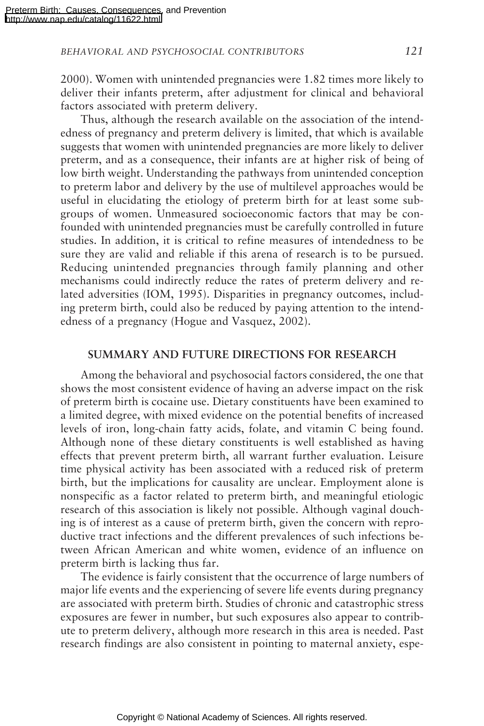2000). Women with unintended pregnancies were 1.82 times more likely to deliver their infants preterm, after adjustment for clinical and behavioral factors associated with preterm delivery.

Thus, although the research available on the association of the intendedness of pregnancy and preterm delivery is limited, that which is available suggests that women with unintended pregnancies are more likely to deliver preterm, and as a consequence, their infants are at higher risk of being of low birth weight. Understanding the pathways from unintended conception to preterm labor and delivery by the use of multilevel approaches would be useful in elucidating the etiology of preterm birth for at least some subgroups of women. Unmeasured socioeconomic factors that may be confounded with unintended pregnancies must be carefully controlled in future studies. In addition, it is critical to refine measures of intendedness to be sure they are valid and reliable if this arena of research is to be pursued. Reducing unintended pregnancies through family planning and other mechanisms could indirectly reduce the rates of preterm delivery and related adversities (IOM, 1995). Disparities in pregnancy outcomes, including preterm birth, could also be reduced by paying attention to the intendedness of a pregnancy (Hogue and Vasquez, 2002).

# **SUMMARY AND FUTURE DIRECTIONS FOR RESEARCH**

Among the behavioral and psychosocial factors considered, the one that shows the most consistent evidence of having an adverse impact on the risk of preterm birth is cocaine use. Dietary constituents have been examined to a limited degree, with mixed evidence on the potential benefits of increased levels of iron, long-chain fatty acids, folate, and vitamin C being found. Although none of these dietary constituents is well established as having effects that prevent preterm birth, all warrant further evaluation. Leisure time physical activity has been associated with a reduced risk of preterm birth, but the implications for causality are unclear. Employment alone is nonspecific as a factor related to preterm birth, and meaningful etiologic research of this association is likely not possible. Although vaginal douching is of interest as a cause of preterm birth, given the concern with reproductive tract infections and the different prevalences of such infections between African American and white women, evidence of an influence on preterm birth is lacking thus far.

The evidence is fairly consistent that the occurrence of large numbers of major life events and the experiencing of severe life events during pregnancy are associated with preterm birth. Studies of chronic and catastrophic stress exposures are fewer in number, but such exposures also appear to contribute to preterm delivery, although more research in this area is needed. Past research findings are also consistent in pointing to maternal anxiety, espe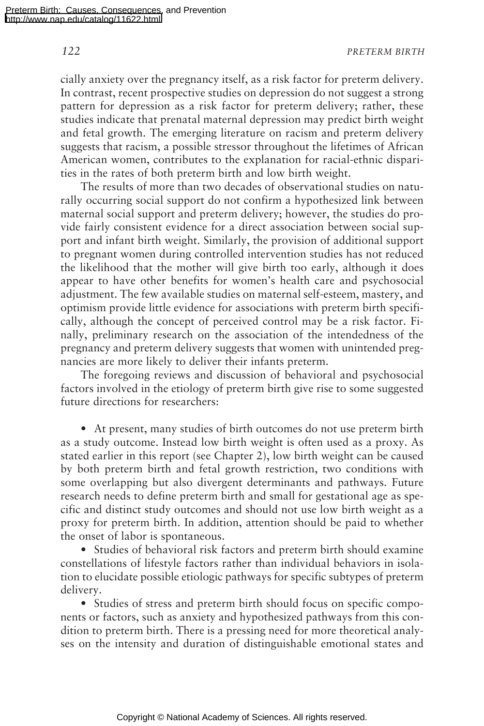cially anxiety over the pregnancy itself, as a risk factor for preterm delivery. In contrast, recent prospective studies on depression do not suggest a strong pattern for depression as a risk factor for preterm delivery; rather, these studies indicate that prenatal maternal depression may predict birth weight and fetal growth. The emerging literature on racism and preterm delivery suggests that racism, a possible stressor throughout the lifetimes of African American women, contributes to the explanation for racial-ethnic disparities in the rates of both preterm birth and low birth weight.

The results of more than two decades of observational studies on naturally occurring social support do not confirm a hypothesized link between maternal social support and preterm delivery; however, the studies do provide fairly consistent evidence for a direct association between social support and infant birth weight. Similarly, the provision of additional support to pregnant women during controlled intervention studies has not reduced the likelihood that the mother will give birth too early, although it does appear to have other benefits for women's health care and psychosocial adjustment. The few available studies on maternal self-esteem, mastery, and optimism provide little evidence for associations with preterm birth specifically, although the concept of perceived control may be a risk factor. Finally, preliminary research on the association of the intendedness of the pregnancy and preterm delivery suggests that women with unintended pregnancies are more likely to deliver their infants preterm.

The foregoing reviews and discussion of behavioral and psychosocial factors involved in the etiology of preterm birth give rise to some suggested future directions for researchers:

• At present, many studies of birth outcomes do not use preterm birth as a study outcome. Instead low birth weight is often used as a proxy. As stated earlier in this report (see Chapter 2), low birth weight can be caused by both preterm birth and fetal growth restriction, two conditions with some overlapping but also divergent determinants and pathways. Future research needs to define preterm birth and small for gestational age as specific and distinct study outcomes and should not use low birth weight as a proxy for preterm birth. In addition, attention should be paid to whether the onset of labor is spontaneous.

• Studies of behavioral risk factors and preterm birth should examine constellations of lifestyle factors rather than individual behaviors in isolation to elucidate possible etiologic pathways for specific subtypes of preterm delivery.

• Studies of stress and preterm birth should focus on specific components or factors, such as anxiety and hypothesized pathways from this condition to preterm birth. There is a pressing need for more theoretical analyses on the intensity and duration of distinguishable emotional states and